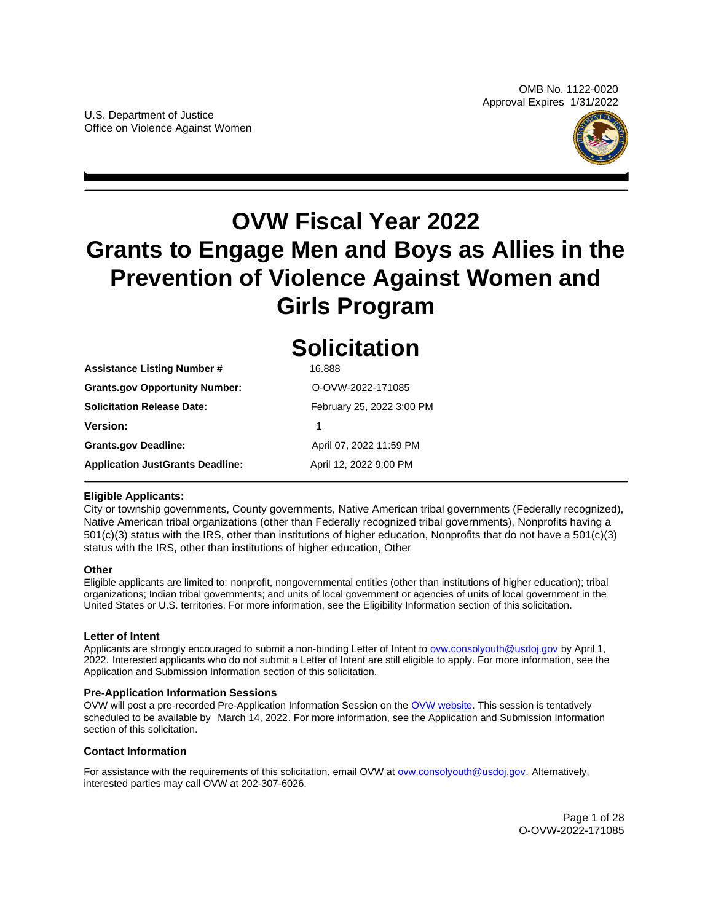

# <span id="page-0-0"></span>**OVW Fiscal Year 2022 Grants to Engage Men and Boys as Allies in the Prevention of Violence Against Women and Girls Program**

|                                         | <b>Solicitation</b>       |  |
|-----------------------------------------|---------------------------|--|
| <b>Assistance Listing Number #</b>      | 16.888                    |  |
| <b>Grants.gov Opportunity Number:</b>   | O-OVW-2022-171085         |  |
| <b>Solicitation Release Date:</b>       | February 25, 2022 3:00 PM |  |
| Version:                                | 1                         |  |
| <b>Grants.gov Deadline:</b>             | April 07, 2022 11:59 PM   |  |
| <b>Application JustGrants Deadline:</b> | April 12, 2022 9:00 PM    |  |

## **Eligible Applicants:**

City or township governments, County governments, Native American tribal governments (Federally recognized), Native American tribal organizations (other than Federally recognized tribal governments), Nonprofits having a 501(c)(3) status with the IRS, other than institutions of higher education, Nonprofits that do not have a 501(c)(3) status with the IRS, other than institutions of higher education, Other

## **Other**

Eligible applicants are limited to: nonprofit, nongovernmental entities (other than institutions of higher education); tribal organizations; Indian tribal governments; and units of local government or agencies of units of local government in the United States or U.S. territories. For more information, see the Eligibility Information section of this solicitation.

## **Letter of Intent**

Applicants are strongly encouraged to submit a non-binding Letter of Intent to ovw.consolyouth@usdoj.gov by April 1, 2022. Interested applicants who do not submit a Letter of Intent are still eligible to apply. For more information, see the Application and Submission Information section of this solicitation.

## **Pre-Application Information Sessions**

OVW will post a pre-recorded Pre-Application Information Session on the [OVW website.](https://www.justice.gov/ovw/resources-applicants#Program Specific) This session is tentatively scheduled to be available by March 14, 2022. For more information, see the Application and Submission Information section of this solicitation.

## **Contact Information**

For assistance with the requirements of this solicitation, email OVW at ovw.consolyouth@usdoj.gov. Alternatively, interested parties may call OVW at 202-307-6026.

> Page 1 of 28 O-OVW-2022-171085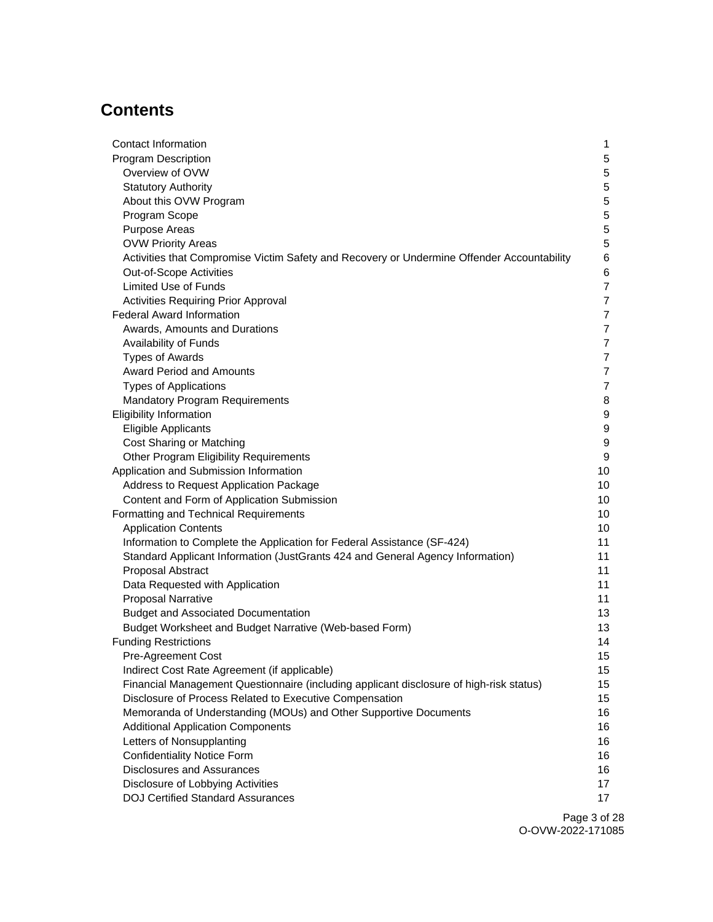## **Contents**

| Contact Information                                                                        | 1                |
|--------------------------------------------------------------------------------------------|------------------|
| <b>Program Description</b>                                                                 | 5                |
| Overview of OVW                                                                            | 5                |
| <b>Statutory Authority</b>                                                                 | 5                |
| About this OVW Program                                                                     | $\mathbf 5$      |
| Program Scope                                                                              | 5                |
| Purpose Areas                                                                              | $\mathbf 5$      |
| <b>OVW Priority Areas</b>                                                                  | $\mathbf 5$      |
| Activities that Compromise Victim Safety and Recovery or Undermine Offender Accountability | 6                |
| Out-of-Scope Activities                                                                    | 6                |
| <b>Limited Use of Funds</b>                                                                | $\overline{7}$   |
| <b>Activities Requiring Prior Approval</b>                                                 | $\overline{7}$   |
| <b>Federal Award Information</b>                                                           | 7                |
| Awards, Amounts and Durations                                                              | $\overline{7}$   |
| Availability of Funds                                                                      | $\overline{7}$   |
| <b>Types of Awards</b>                                                                     | $\overline{7}$   |
| <b>Award Period and Amounts</b>                                                            | $\overline{7}$   |
| <b>Types of Applications</b>                                                               | $\overline{7}$   |
| <b>Mandatory Program Requirements</b>                                                      | 8                |
| <b>Eligibility Information</b>                                                             | 9                |
| <b>Eligible Applicants</b>                                                                 | $\boldsymbol{9}$ |
| Cost Sharing or Matching                                                                   | $\boldsymbol{9}$ |
| Other Program Eligibility Requirements                                                     | $\boldsymbol{9}$ |
| Application and Submission Information                                                     | 10               |
| Address to Request Application Package                                                     | 10               |
| Content and Form of Application Submission                                                 | 10               |
| Formatting and Technical Requirements                                                      | 10               |
| <b>Application Contents</b>                                                                | 10               |
| Information to Complete the Application for Federal Assistance (SF-424)                    | 11               |
| Standard Applicant Information (JustGrants 424 and General Agency Information)             | 11               |
| Proposal Abstract                                                                          | 11               |
| Data Requested with Application                                                            | 11               |
| <b>Proposal Narrative</b>                                                                  | 11               |
| <b>Budget and Associated Documentation</b>                                                 | 13               |
| Budget Worksheet and Budget Narrative (Web-based Form)                                     | 13               |
| <b>Funding Restrictions</b>                                                                | 14               |
| <b>Pre-Agreement Cost</b>                                                                  | 15               |
| Indirect Cost Rate Agreement (if applicable)                                               | 15               |
| Financial Management Questionnaire (including applicant disclosure of high-risk status)    | 15 <sub>15</sub> |
| Disclosure of Process Related to Executive Compensation                                    | 15               |
| Memoranda of Understanding (MOUs) and Other Supportive Documents                           | 16               |
| <b>Additional Application Components</b>                                                   | 16               |
|                                                                                            |                  |
| Letters of Nonsupplanting<br><b>Confidentiality Notice Form</b>                            | 16<br>16         |
| <b>Disclosures and Assurances</b>                                                          |                  |
| Disclosure of Lobbying Activities                                                          | 16<br>17         |
| <b>DOJ Certified Standard Assurances</b>                                                   | 17               |
|                                                                                            |                  |

Page 3 of 28 O-OVW-2022-171085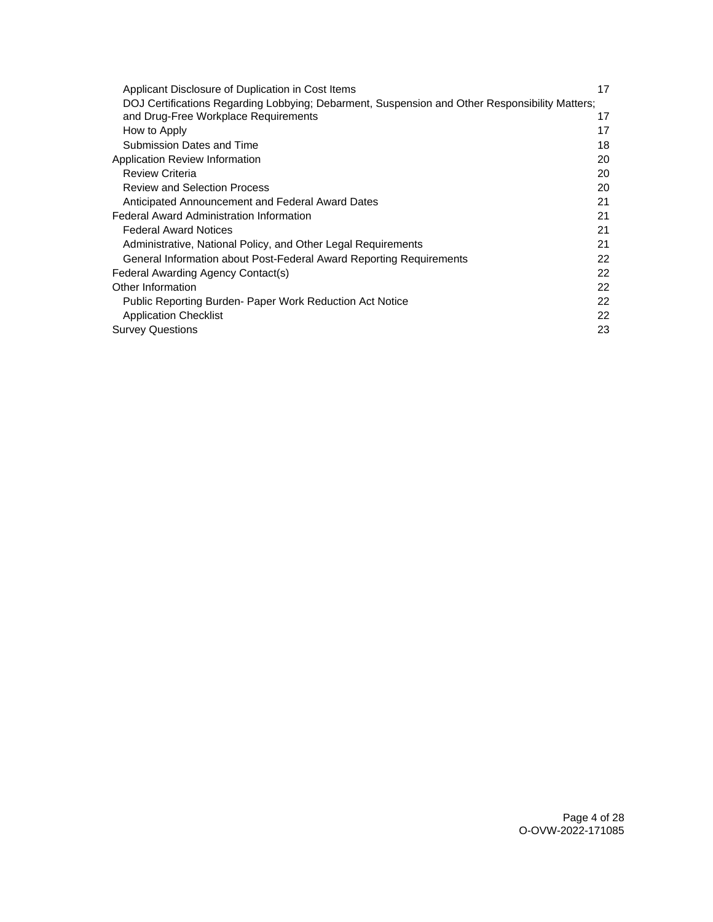| Applicant Disclosure of Duplication in Cost Items                                              | 17 |
|------------------------------------------------------------------------------------------------|----|
| DOJ Certifications Regarding Lobbying; Debarment, Suspension and Other Responsibility Matters; |    |
| and Drug-Free Workplace Requirements                                                           | 17 |
| How to Apply                                                                                   | 17 |
| Submission Dates and Time                                                                      | 18 |
| Application Review Information                                                                 | 20 |
| <b>Review Criteria</b>                                                                         | 20 |
| <b>Review and Selection Process</b>                                                            | 20 |
| Anticipated Announcement and Federal Award Dates                                               | 21 |
| <b>Federal Award Administration Information</b>                                                | 21 |
| <b>Federal Award Notices</b>                                                                   | 21 |
| Administrative, National Policy, and Other Legal Requirements                                  | 21 |
| General Information about Post-Federal Award Reporting Requirements                            | 22 |
| Federal Awarding Agency Contact(s)                                                             | 22 |
| Other Information                                                                              | 22 |
| Public Reporting Burden- Paper Work Reduction Act Notice                                       | 22 |
| <b>Application Checklist</b>                                                                   | 22 |
| <b>Survey Questions</b>                                                                        | 23 |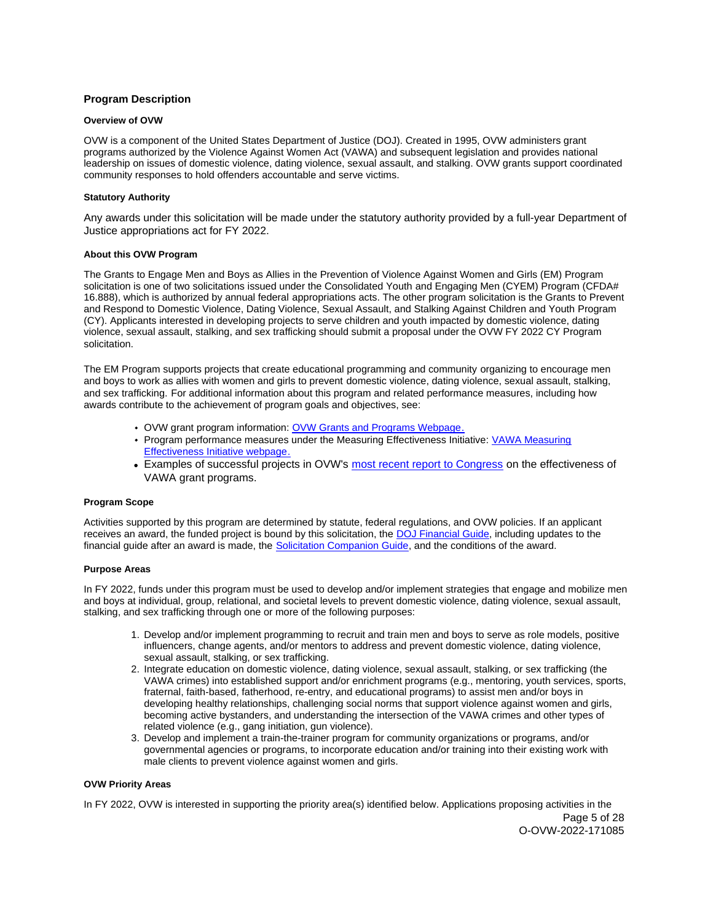## <span id="page-4-0"></span>**Program Description**

## **Overview of OVW**

OVW is a component of the United States Department of Justice (DOJ). Created in 1995, OVW administers grant programs authorized by the Violence Against Women Act (VAWA) and subsequent legislation and provides national leadership on issues of domestic violence, dating violence, sexual assault, and stalking. OVW grants support coordinated community responses to hold offenders accountable and serve victims.

## **Statutory Authority**

Any awards under this solicitation will be made under the statutory authority provided by a full-year Department of Justice appropriations act for FY 2022.

## **About this OVW Program**

The Grants to Engage Men and Boys as Allies in the Prevention of Violence Against Women and Girls (EM) Program solicitation is one of two solicitations issued under the Consolidated Youth and Engaging Men (CYEM) Program (CFDA# 16.888), which is authorized by annual federal appropriations acts. The other program solicitation is the Grants to Prevent and Respond to Domestic Violence, Dating Violence, Sexual Assault, and Stalking Against Children and Youth Program (CY). Applicants interested in developing projects to serve children and youth impacted by domestic violence, dating violence, sexual assault, stalking, and sex trafficking should submit a proposal under the OVW FY 2022 CY Program solicitation.

The EM Program supports projects that create educational programming and community organizing to encourage men and boys to work as allies with women and girls to prevent domestic violence, dating violence, sexual assault, stalking, and sex trafficking. For additional information about this program and related performance measures, including how awards contribute to the achievement of program goals and objectives, see:

- OVW grant program information: [OVW Grants and Programs Webpage.](https://www.justice.gov/ovw/grant-programs)
- Program performance measures under the Measuring Effectiveness Initiative: [VAWA Measuring](https://www.vawamei.org/grant-programs/)  [Effectiveness Initiative webpage.](https://www.vawamei.org/grant-programs/)
- Examples of successful projects in OVW's [most recent report to Congress](https://www.justice.gov/ovw/reports-congress#s1) on the effectiveness of VAWA grant programs.

#### **Program Scope**

Activities supported by this program are determined by statute, federal regulations, and OVW policies. If an applicant receives an award, the funded project is bound by this solicitation, the [DOJ Financial Guide,](https://www.justice.gov/ovw/page/file/1298396/download) including updates to the financial guide after an award is made, the [Solicitation Companion Guide,](https://www.justice.gov/ovw/resources-applicants) and the conditions of the award.

#### **Purpose Areas**

In FY 2022, funds under this program must be used to develop and/or implement strategies that engage and mobilize men and boys at individual, group, relational, and societal levels to prevent domestic violence, dating violence, sexual assault, stalking, and sex trafficking through one or more of the following purposes:

- 1. Develop and/or implement programming to recruit and train men and boys to serve as role models, positive influencers, change agents, and/or mentors to address and prevent domestic violence, dating violence, sexual assault, stalking, or sex trafficking.
- 2. Integrate education on domestic violence, dating violence, sexual assault, stalking, or sex trafficking (the VAWA crimes) into established support and/or enrichment programs (e.g., mentoring, youth services, sports, fraternal, faith-based, fatherhood, re-entry, and educational programs) to assist men and/or boys in developing healthy relationships, challenging social norms that support violence against women and girls, becoming active bystanders, and understanding the intersection of the VAWA crimes and other types of related violence (e.g., gang initiation, gun violence).
- 3. Develop and implement a train-the-trainer program for community organizations or programs, and/or governmental agencies or programs, to incorporate education and/or training into their existing work with male clients to prevent violence against women and girls.

## **OVW Priority Areas**

In FY 2022, OVW is interested in supporting the priority area(s) identified below. Applications proposing activities in the Page 5 of 28 O-OVW-2022-171085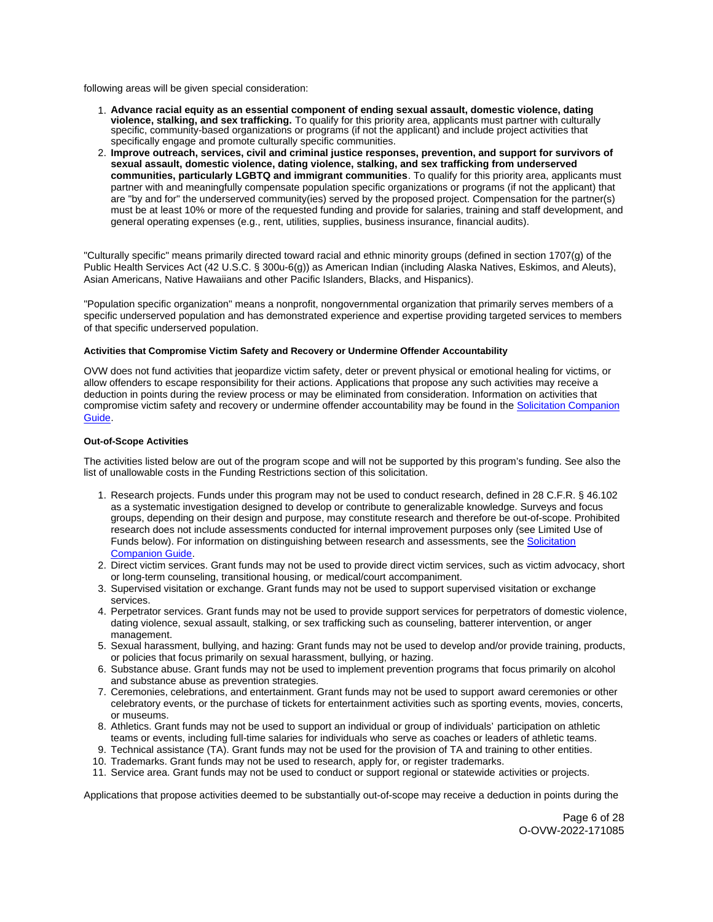<span id="page-5-0"></span>following areas will be given special consideration:

- 1. **Advance racial equity as an essential component of ending sexual assault, domestic violence, dating violence, stalking, and sex trafficking.** To qualify for this priority area, applicants must partner with culturally specific, community-based organizations or programs (if not the applicant) and include project activities that specifically engage and promote culturally specific communities.
- 2. **Improve outreach, services, civil and criminal justice responses, prevention, and support for survivors of sexual assault, domestic violence, dating violence, stalking, and sex trafficking from underserved communities, particularly LGBTQ and immigrant communities**. To qualify for this priority area, applicants must partner with and meaningfully compensate population specific organizations or programs (if not the applicant) that are "by and for" the underserved community(ies) served by the proposed project. Compensation for the partner(s) must be at least 10% or more of the requested funding and provide for salaries, training and staff development, and general operating expenses (e.g., rent, utilities, supplies, business insurance, financial audits).

"Culturally specific" means primarily directed toward racial and ethnic minority groups (defined in section 1707(g) of the Public Health Services Act (42 U.S.C. § 300u-6(g)) as American Indian (including Alaska Natives, Eskimos, and Aleuts), Asian Americans, Native Hawaiians and other Pacific Islanders, Blacks, and Hispanics).

"Population specific organization" means a nonprofit, nongovernmental organization that primarily serves members of a specific underserved population and has demonstrated experience and expertise providing targeted services to members of that specific underserved population.

## **Activities that Compromise Victim Safety and Recovery or Undermine Offender Accountability**

OVW does not fund activities that jeopardize victim safety, deter or prevent physical or emotional healing for victims, or allow offenders to escape responsibility for their actions. Applications that propose any such activities may receive a deduction in points during the review process or may be eliminated from consideration. Information on activities that compromise victim safety and recovery or undermine offender accountability may be found in the [Solicitation Companion](https://www.justice.gov/ovw/resources-applicants)  [Guide.](https://www.justice.gov/ovw/resources-applicants)

## **Out-of-Scope Activities**

The activities listed below are out of the program scope and will not be supported by this program's funding. See also the list of unallowable costs in the Funding Restrictions section of this solicitation.

- 1. Research projects. Funds under this program may not be used to conduct research, defined in 28 C.F.R. § 46.102 as a systematic investigation designed to develop or contribute to generalizable knowledge. Surveys and focus groups, depending on their design and purpose, may constitute research and therefore be out-of-scope. Prohibited research does not include assessments conducted for internal improvement purposes only (see Limited Use of Funds below). For information on distinguishing between research and assessments, see the [Solicitation](https://www.justice.gov/ovw/resources-applicants)  [Companion Guide.](https://www.justice.gov/ovw/resources-applicants)
- 2. Direct victim services. Grant funds may not be used to provide direct victim services, such as victim advocacy, short or long-term counseling, transitional housing, or medical/court accompaniment.
- 3. Supervised visitation or exchange. Grant funds may not be used to support supervised visitation or exchange services.
- 4. Perpetrator services. Grant funds may not be used to provide support services for perpetrators of domestic violence, dating violence, sexual assault, stalking, or sex trafficking such as counseling, batterer intervention, or anger management.
- 5. Sexual harassment, bullying, and hazing: Grant funds may not be used to develop and/or provide training, products, or policies that focus primarily on sexual harassment, bullying, or hazing.
- 6. Substance abuse. Grant funds may not be used to implement prevention programs that focus primarily on alcohol and substance abuse as prevention strategies.
- 7. Ceremonies, celebrations, and entertainment. Grant funds may not be used to support award ceremonies or other celebratory events, or the purchase of tickets for entertainment activities such as sporting events, movies, concerts, or museums.
- 8. Athletics. Grant funds may not be used to support an individual or group of individuals' participation on athletic teams or events, including full-time salaries for individuals who serve as coaches or leaders of athletic teams.
- 9. Technical assistance (TA). Grant funds may not be used for the provision of TA and training to other entities.
- 10. Trademarks. Grant funds may not be used to research, apply for, or register trademarks.
- 11. Service area. Grant funds may not be used to conduct or support regional or statewide activities or projects.

Applications that propose activities deemed to be substantially out-of-scope may receive a deduction in points during the

Page 6 of 28 O-OVW-2022-171085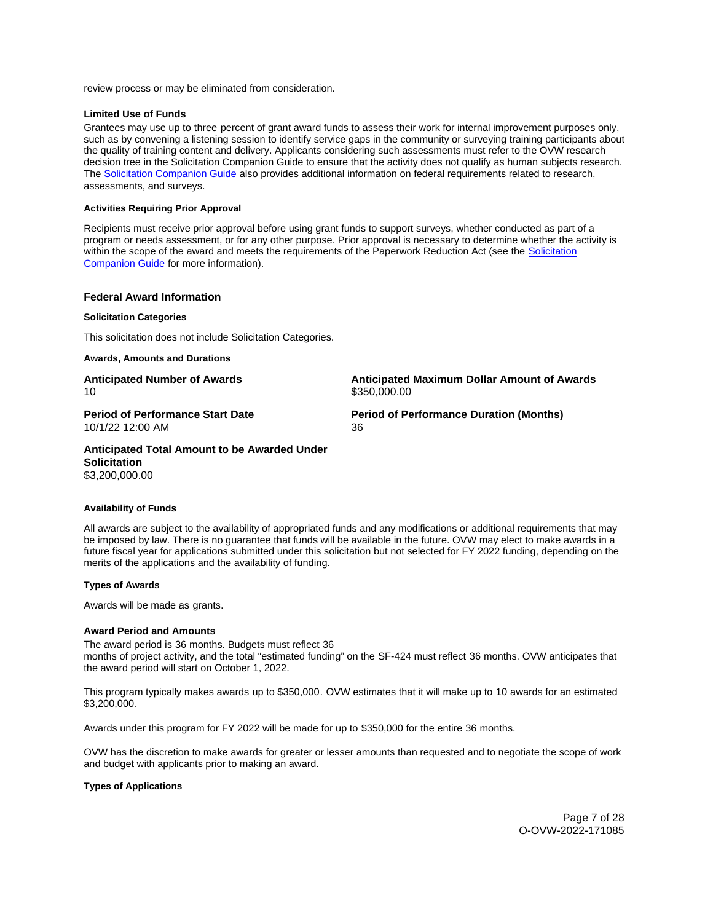<span id="page-6-0"></span>review process or may be eliminated from consideration.

## **Limited Use of Funds**

Grantees may use up to three percent of grant award funds to assess their work for internal improvement purposes only, such as by convening a listening session to identify service gaps in the community or surveying training participants about the quality of training content and delivery. Applicants considering such assessments must refer to the OVW research decision tree in the Solicitation Companion Guide to ensure that the activity does not qualify as human subjects research. The [Solicitation Companion Guide](https://www.justice.gov/ovw/resources-applicants) also provides additional information on federal requirements related to research, assessments, and surveys.

## **Activities Requiring Prior Approval**

Recipients must receive prior approval before using grant funds to support surveys, whether conducted as part of a program or needs assessment, or for any other purpose. Prior approval is necessary to determine whether the activity is within the scope of the award and meets the requirements of the Paperwork Reduction Act (see the Solicitation [Companion Guide](https://www.justice.gov/ovw/resources-applicants) for more information).

## **Federal Award Information**

#### **Solicitation Categories**

This solicitation does not include Solicitation Categories.

**Awards, Amounts and Durations** 

10 \$350,000.00

**Anticipated Number of Awards Anticipated Maximum Dollar Amount of Awards** 

10/1/22 12:00 AM 36

**Period of Performance Start Date Mate Review Period of Performance Duration (Months)** 

**Anticipated Total Amount to be Awarded Under Solicitation**  \$3,200,000.00

## **Availability of Funds**

All awards are subject to the availability of appropriated funds and any modifications or additional requirements that may be imposed by law. There is no guarantee that funds will be available in the future. OVW may elect to make awards in a future fiscal year for applications submitted under this solicitation but not selected for FY 2022 funding, depending on the merits of the applications and the availability of funding.

#### **Types of Awards**

Awards will be made as grants.

## **Award Period and Amounts**

The award period is 36 months. Budgets must reflect 36 months of project activity, and the total "estimated funding" on the SF-424 must reflect 36 months. OVW anticipates that the award period will start on October 1, 2022.

This program typically makes awards up to \$350,000. OVW estimates that it will make up to 10 awards for an estimated \$3,200,000.

Awards under this program for FY 2022 will be made for up to \$350,000 for the entire 36 months.

OVW has the discretion to make awards for greater or lesser amounts than requested and to negotiate the scope of work and budget with applicants prior to making an award.

## **Types of Applications**

Page 7 of 28 O-OVW-2022-171085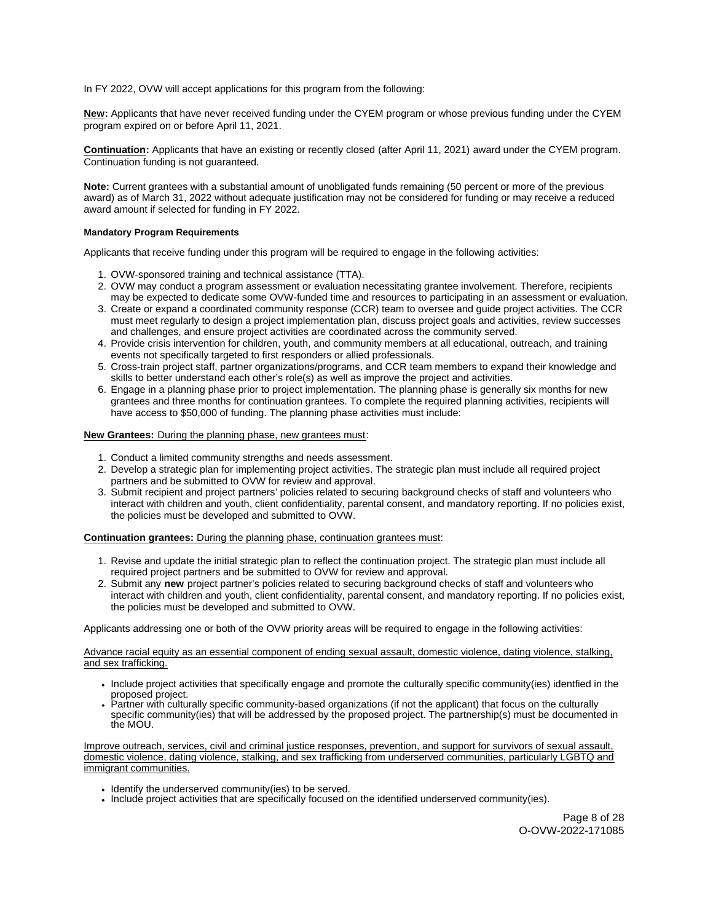<span id="page-7-0"></span>In FY 2022, OVW will accept applications for this program from the following:

**New:** Applicants that have never received funding under the CYEM program or whose previous funding under the CYEM program expired on or before April 11, 2021.

**Continuation:** Applicants that have an existing or recently closed (after April 11, 2021) award under the CYEM program. Continuation funding is not guaranteed.

**Note:** Current grantees with a substantial amount of unobligated funds remaining (50 percent or more of the previous award) as of March 31, 2022 without adequate justification may not be considered for funding or may receive a reduced award amount if selected for funding in FY 2022.

## **Mandatory Program Requirements**

Applicants that receive funding under this program will be required to engage in the following activities:

- 1. OVW-sponsored training and technical assistance (TTA).
- 2. OVW may conduct a program assessment or evaluation necessitating grantee involvement. Therefore, recipients may be expected to dedicate some OVW-funded time and resources to participating in an assessment or evaluation.
- 3. Create or expand a coordinated community response (CCR) team to oversee and guide project activities. The CCR must meet regularly to design a project implementation plan, discuss project goals and activities, review successes and challenges, and ensure project activities are coordinated across the community served.
- 4. Provide crisis intervention for children, youth, and community members at all educational, outreach, and training events not specifically targeted to first responders or allied professionals.
- 5. Cross-train project staff, partner organizations/programs, and CCR team members to expand their knowledge and skills to better understand each other's role(s) as well as improve the project and activities.
- 6. Engage in a planning phase prior to project implementation. The planning phase is generally six months for new grantees and three months for continuation grantees. To complete the required planning activities, recipients will have access to \$50,000 of funding. The planning phase activities must include:

## **New Grantees:** During the planning phase, new grantees must:

- 1. Conduct a limited community strengths and needs assessment.
- 2. Develop a strategic plan for implementing project activities. The strategic plan must include all required project partners and be submitted to OVW for review and approval.
- 3. Submit recipient and project partners' policies related to securing background checks of staff and volunteers who interact with children and youth, client confidentiality, parental consent, and mandatory reporting. If no policies exist, the policies must be developed and submitted to OVW.

## **Continuation grantees:** During the planning phase, continuation grantees must:

- 1. Revise and update the initial strategic plan to reflect the continuation project. The strategic plan must include all required project partners and be submitted to OVW for review and approval.
- 2. Submit any **new** project partner's policies related to securing background checks of staff and volunteers who interact with children and youth, client confidentiality, parental consent, and mandatory reporting. If no policies exist, the policies must be developed and submitted to OVW.

Applicants addressing one or both of the OVW priority areas will be required to engage in the following activities:

Advance racial equity as an essential component of ending sexual assault, domestic violence, dating violence, stalking, and sex trafficking.

- Include project activities that specifically engage and promote the culturally specific community(ies) identfied in the proposed project.
- Partner with culturally specific community-based organizations (if not the applicant) that focus on the culturally specific community(ies) that will be addressed by the proposed project. The partnership(s) must be documented in the MOU.

Improve outreach, services, civil and criminal justice responses, prevention, and support for survivors of sexual assault, domestic violence, dating violence, stalking, and sex trafficking from underserved communities, particularly LGBTQ and immigrant communities.

- Identify the underserved community(ies) to be served.
- Include project activities that are specifically focused on the identified underserved community(ies).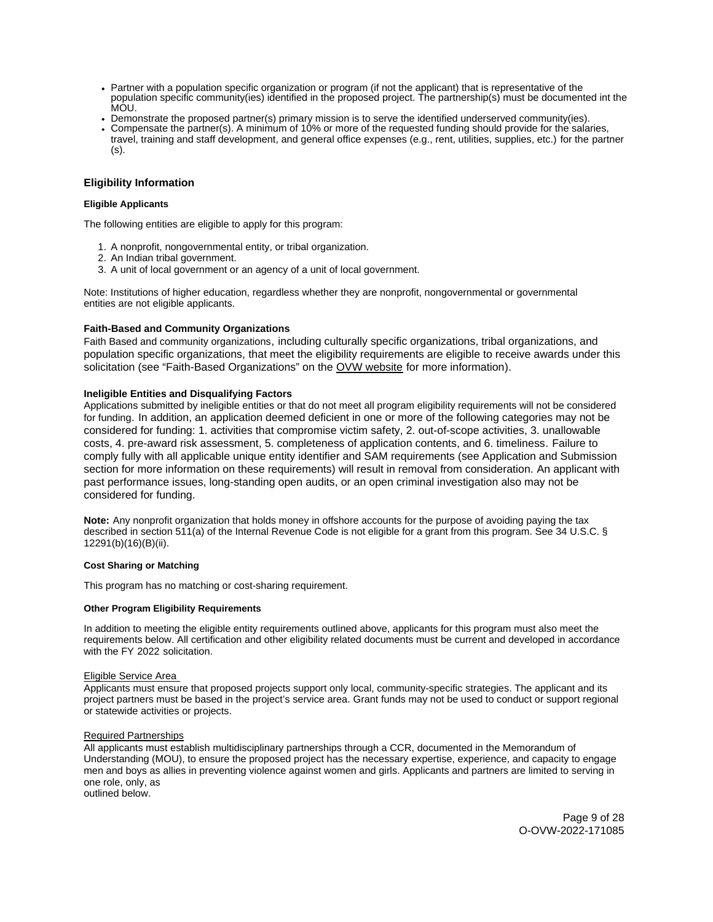- <span id="page-8-0"></span>Partner with a population specific organization or program (if not the applicant) that is representative of the population specific community(ies) identified in the proposed project. The partnership(s) must be documented int the MÒU.
- Demonstrate the proposed partner(s) primary mission is to serve the identified underserved community(ies).
- Compensate the partner(s). A minimum of 10% or more of the requested funding should provide for the salaries, travel, training and staff development, and general office expenses (e.g., rent, utilities, supplies, etc.) for the partner (s).

## **Eligibility Information**

## **Eligible Applicants**

The following entities are eligible to apply for this program:

- 1. A nonprofit, nongovernmental entity, or tribal organization.
- 2. An Indian tribal government.
- 3. A unit of local government or an agency of a unit of local government.

Note: Institutions of higher education, regardless whether they are nonprofit, nongovernmental or governmental entities are not eligible applicants.

## **Faith-Based and Community Organizations**

Faith Based and community organizations, including culturally specific organizations, tribal organizations, and population specific organizations, that meet the eligibility requirements are eligible to receive awards under this solicitation (see "Faith-Based Organizations" on the [OVW website](https://www.justice.gov/ovw/resources-applicants#Resources) for more information).

## **Ineligible Entities and Disqualifying Factors**

Applications submitted by ineligible entities or that do not meet all program eligibility requirements will not be considered for funding. In addition, an application deemed deficient in one or more of the following categories may not be considered for funding: 1. activities that compromise victim safety, 2. out-of-scope activities, 3. unallowable costs, 4. pre-award risk assessment, 5. completeness of application contents, and 6. timeliness. Failure to comply fully with all applicable unique entity identifier and SAM requirements (see Application and Submission section for more information on these requirements) will result in removal from consideration. An applicant with past performance issues, long-standing open audits, or an open criminal investigation also may not be considered for funding.

**Note:** Any nonprofit organization that holds money in offshore accounts for the purpose of avoiding paying the tax described in section 511(a) of the Internal Revenue Code is not eligible for a grant from this program. See 34 U.S.C. § 12291(b)(16)(B)(ii).

#### **Cost Sharing or Matching**

This program has no matching or cost-sharing requirement.

## **Other Program Eligibility Requirements**

In addition to meeting the eligible entity requirements outlined above, applicants for this program must also meet the requirements below. All certification and other eligibility related documents must be current and developed in accordance with the FY 2022 solicitation.

#### Eligible Service Area

Applicants must ensure that proposed projects support only local, community-specific strategies. The applicant and its project partners must be based in the project's service area. Grant funds may not be used to conduct or support regional or statewide activities or projects.

## Required Partnerships

All applicants must establish multidisciplinary partnerships through a CCR, documented in the Memorandum of Understanding (MOU), to ensure the proposed project has the necessary expertise, experience, and capacity to engage men and boys as allies in preventing violence against women and girls. Applicants and partners are limited to serving in one role, only, as

outlined below.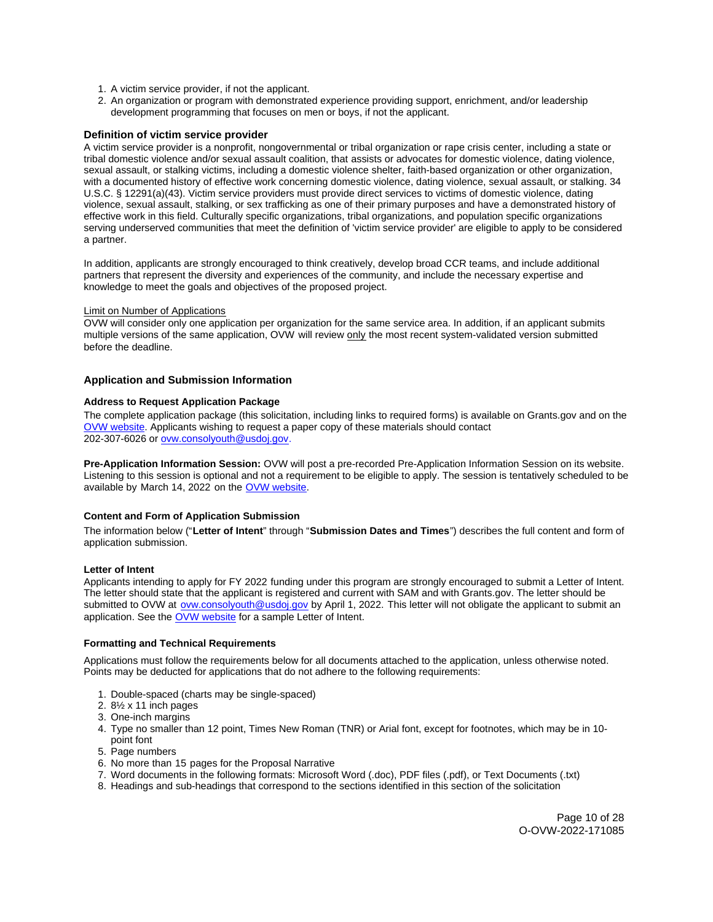- <span id="page-9-0"></span>1. A victim service provider, if not the applicant.
- 2. An organization or program with demonstrated experience providing support, enrichment, and/or leadership development programming that focuses on men or boys, if not the applicant.

## **Definition of victim service provider**

A victim service provider is a nonprofit, nongovernmental or tribal organization or rape crisis center, including a state or tribal domestic violence and/or sexual assault coalition, that assists or advocates for domestic violence, dating violence, sexual assault, or stalking victims, including a domestic violence shelter, faith-based organization or other organization, with a documented history of effective work concerning domestic violence, dating violence, sexual assault, or stalking. 34 U.S.C. § 12291(a)(43). Victim service providers must provide direct services to victims of domestic violence, dating violence, sexual assault, stalking, or sex trafficking as one of their primary purposes and have a demonstrated history of effective work in this field. Culturally specific organizations, tribal organizations, and population specific organizations serving underserved communities that meet the definition of 'victim service provider' are eligible to apply to be considered a partner.

In addition, applicants are strongly encouraged to think creatively, develop broad CCR teams, and include additional partners that represent the diversity and experiences of the community, and include the necessary expertise and knowledge to meet the goals and objectives of the proposed project.

#### Limit on Number of Applications

OVW will consider only one application per organization for the same service area. In addition, if an applicant submits multiple versions of the same application, OVW will review only the most recent system-validated version submitted before the deadline.

## **Application and Submission Information**

## **Address to Request Application Package**

The complete application package (this solicitation, including links to required forms) is available on [Grants.gov](https://Grants.gov) and on the [OVW website.](https://www.justice.gov/ovw/how-apply) Applicants wishing to request a paper copy of these materials should contact 202-307-6026 or [ovw.consolyouth@usdoj.gov.](mailto:ovw.consolyouth@usdoj.gov)

**Pre-Application Information Session:** OVW will post a pre-recorded Pre-Application Information Session on its website. Listening to this session is optional and not a requirement to be eligible to apply. The session is tentatively scheduled to be available by March 14, 2022 on the [OVW website.](https://www.justice.gov/ovw/resources-applicants#Program Specific)

## **Content and Form of Application Submission**

The information below ("**Letter of Intent**" through "**Submission Dates and Times**") describes the full content and form of application submission.

## **Letter of Intent**

Applicants intending to apply for FY 2022 funding under this program are strongly encouraged to submit a Letter of Intent. The letter should state that the applicant is registered and current with SAM and with [Grants.gov](https://Grants.gov). The letter should be submitted to OVW at [ovw.consolyouth@usdoj.gov](mailto:ovw.consolyouth@usdoj.gov) by April 1, 2022. This letter will not obligate the applicant to submit an application. See the [OVW website](https://www.justice.gov/ovw/resources-applicants) for a sample Letter of Intent.

#### **Formatting and Technical Requirements**

Applications must follow the requirements below for all documents attached to the application, unless otherwise noted. Points may be deducted for applications that do not adhere to the following requirements:

- 1. Double-spaced (charts may be single-spaced)
- 2. 8½ x 11 inch pages
- 3. One-inch margins
- 4. Type no smaller than 12 point, Times New Roman (TNR) or Arial font, except for footnotes, which may be in 10 point font
- 5. Page numbers
- 6. No more than 15 pages for the Proposal Narrative
- 7. Word documents in the following formats: Microsoft Word (.doc), PDF files (.pdf), or Text Documents (.txt)
- 8. Headings and sub-headings that correspond to the sections identified in this section of the solicitation

Page 10 of 28 O-OVW-2022-171085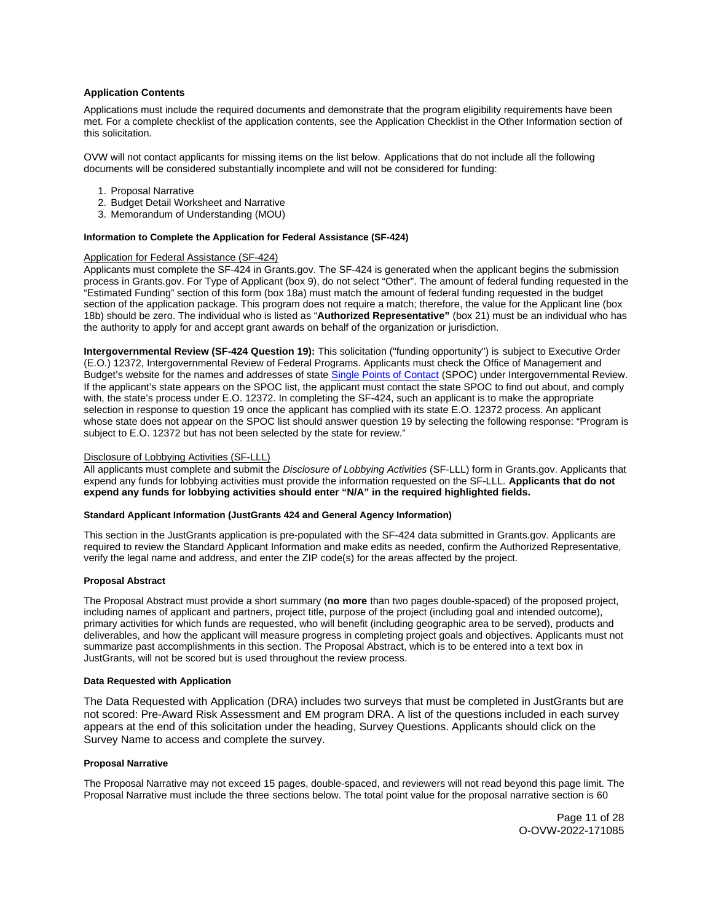## <span id="page-10-0"></span>**Application Contents**

Applications must include the required documents and demonstrate that the program eligibility requirements have been met. For a complete checklist of the application contents, see the Application Checklist in the Other Information section of this solicitation.

OVW will not contact applicants for missing items on the list below. Applications that do not include all the following documents will be considered substantially incomplete and will not be considered for funding:

- 1. Proposal Narrative
- 2. Budget Detail Worksheet and Narrative
- 3. Memorandum of Understanding (MOU)

## **Information to Complete the Application for Federal Assistance (SF-424)**

## Application for Federal Assistance (SF-424)

Applicants must complete the SF-424 in [Grants.gov](https://Grants.gov). The SF-424 is generated when the applicant begins the submission process in [Grants.gov.](https://Grants.gov) For Type of Applicant (box 9), do not select "Other". The amount of federal funding requested in the "Estimated Funding" section of this form (box 18a) must match the amount of federal funding requested in the budget section of the application package. This program does not require a match; therefore, the value for the Applicant line (box 18b) should be zero. The individual who is listed as "**Authorized Representative"** (box 21) must be an individual who has the authority to apply for and accept grant awards on behalf of the organization or jurisdiction.

**Intergovernmental Review (SF-424 Question 19):** This solicitation ("funding opportunity") is subject to Executive Order (E.O.) 12372, Intergovernmental Review of Federal Programs. Applicants must check the Office of Management and Budget's website for the names and addresses of state [Single Points of Contact](https://www.whitehouse.gov/wp-content/uploads/2020/04/SPOC-4-13-20.pdf) (SPOC) under Intergovernmental Review. If the applicant's state appears on the SPOC list, the applicant must contact the state SPOC to find out about, and comply with, the state's process under E.O. 12372. In completing the SF-424, such an applicant is to make the appropriate selection in response to question 19 once the applicant has complied with its state E.O. 12372 process. An applicant whose state does not appear on the SPOC list should answer question 19 by selecting the following response: "Program is subject to E.O. 12372 but has not been selected by the state for review."

## Disclosure of Lobbying Activities (SF-LLL)

All applicants must complete and submit the Disclosure of Lobbying Activities (SF-LLL) form in [Grants.gov.](https://Grants.gov) Applicants that expend any funds for lobbying activities must provide the information requested on the SF-LLL. **Applicants that do not expend any funds for lobbying activities should enter "N/A" in the required highlighted fields.** 

#### **Standard Applicant Information (JustGrants 424 and General Agency Information)**

This section in the JustGrants application is pre-populated with the SF-424 data submitted in [Grants.gov](https://Grants.gov). Applicants are required to review the Standard Applicant Information and make edits as needed, confirm the Authorized Representative, verify the legal name and address, and enter the ZIP code(s) for the areas affected by the project.

#### **Proposal Abstract**

The Proposal Abstract must provide a short summary (**no more** than two pages double-spaced) of the proposed project, including names of applicant and partners, project title, purpose of the project (including goal and intended outcome), primary activities for which funds are requested, who will benefit (including geographic area to be served), products and deliverables, and how the applicant will measure progress in completing project goals and objectives. Applicants must not summarize past accomplishments in this section. The Proposal Abstract, which is to be entered into a text box in JustGrants, will not be scored but is used throughout the review process.

#### **Data Requested with Application**

The Data Requested with Application (DRA) includes two surveys that must be completed in JustGrants but are not scored: Pre-Award Risk Assessment and EM program DRA. A list of the questions included in each survey appears at the end of this solicitation under the heading, Survey Questions. Applicants should click on the Survey Name to access and complete the survey.

## **Proposal Narrative**

The Proposal Narrative may not exceed 15 pages, double-spaced, and reviewers will not read beyond this page limit. The Proposal Narrative must include the three sections below. The total point value for the proposal narrative section is 60

> Page 11 of 28 O-OVW-2022-171085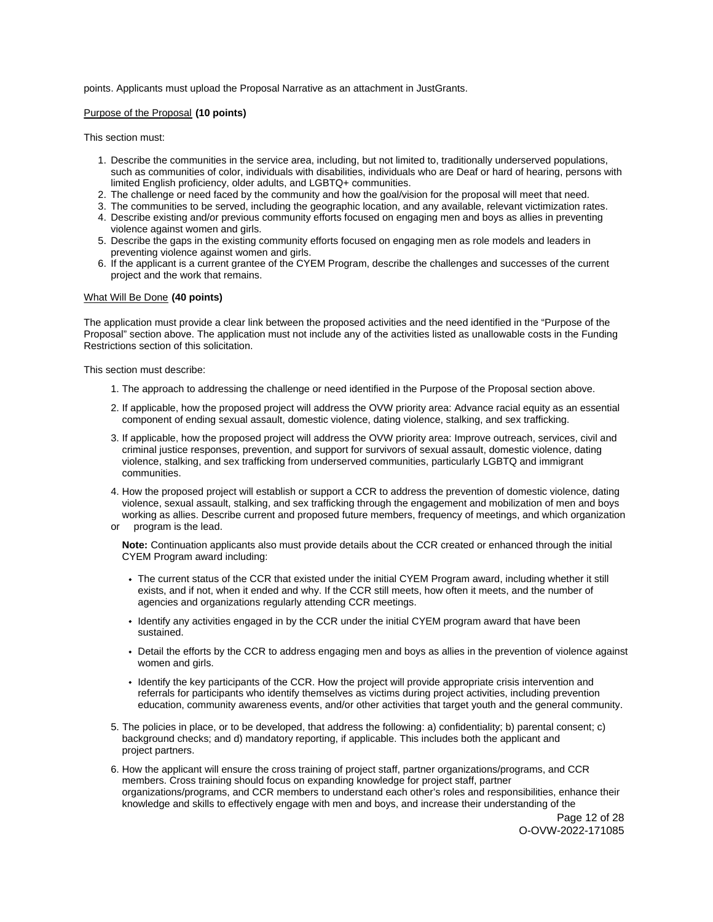## points. Applicants must upload the Proposal Narrative as an attachment in JustGrants.

## Purpose of the Proposal **(10 points)**

This section must:

- 1. Describe the communities in the service area, including, but not limited to, traditionally underserved populations, such as communities of color, individuals with disabilities, individuals who are Deaf or hard of hearing, persons with limited English proficiency, older adults, and LGBTQ+ communities.
- 2. The challenge or need faced by the community and how the goal/vision for the proposal will meet that need.
- 3. The communities to be served, including the geographic location, and any available, relevant victimization rates.
- 4. Describe existing and/or previous community efforts focused on engaging men and boys as allies in preventing violence against women and girls.
- 5. Describe the gaps in the existing community efforts focused on engaging men as role models and leaders in preventing violence against women and girls.
- 6. If the applicant is a current grantee of the CYEM Program, describe the challenges and successes of the current project and the work that remains.

#### What Will Be Done **(40 points)**

The application must provide a clear link between the proposed activities and the need identified in the "Purpose of the Proposal" section above. The application must not include any of the activities listed as unallowable costs in the Funding Restrictions section of this solicitation.

This section must describe:

- 1. The approach to addressing the challenge or need identified in the Purpose of the Proposal section above.
- 2. If applicable, how the proposed project will address the OVW priority area: Advance racial equity as an essential component of ending sexual assault, domestic violence, dating violence, stalking, and sex trafficking.
- 3. If applicable, how the proposed project will address the OVW priority area: Improve outreach, services, civil and criminal justice responses, prevention, and support for survivors of sexual assault, domestic violence, dating violence, stalking, and sex trafficking from underserved communities, particularly LGBTQ and immigrant communities.
- 4. How the proposed project will establish or support a CCR to address the prevention of domestic violence, dating violence, sexual assault, stalking, and sex trafficking through the engagement and mobilization of men and boys working as allies. Describe current and proposed future members, frequency of meetings, and which organization
- or program is the lead.

 **Note:** Continuation applicants also must provide details about the CCR created or enhanced through the initial CYEM Program award including:

- The current status of the CCR that existed under the initial CYEM Program award, including whether it still exists, and if not, when it ended and why. If the CCR still meets, how often it meets, and the number of agencies and organizations regularly attending CCR meetings.
- Identify any activities engaged in by the CCR under the initial CYEM program award that have been sustained.
- Detail the efforts by the CCR to address engaging men and boys as allies in the prevention of violence against women and girls.
- Identify the key participants of the CCR. How the project will provide appropriate crisis intervention and referrals for participants who identify themselves as victims during project activities, including prevention education, community awareness events, and/or other activities that target youth and the general community.
- 5. The policies in place, or to be developed, that address the following: a) confidentiality; b) parental consent; c) background checks; and d) mandatory reporting, if applicable. This includes both the applicant and project partners.
- 6. How the applicant will ensure the cross training of project staff, partner organizations/programs, and CCR members. Cross training should focus on expanding knowledge for project staff, partner organizations/programs, and CCR members to understand each other's roles and responsibilities, enhance their knowledge and skills to effectively engage with men and boys, and increase their understanding of the

Page 12 of 28 O-OVW-2022-171085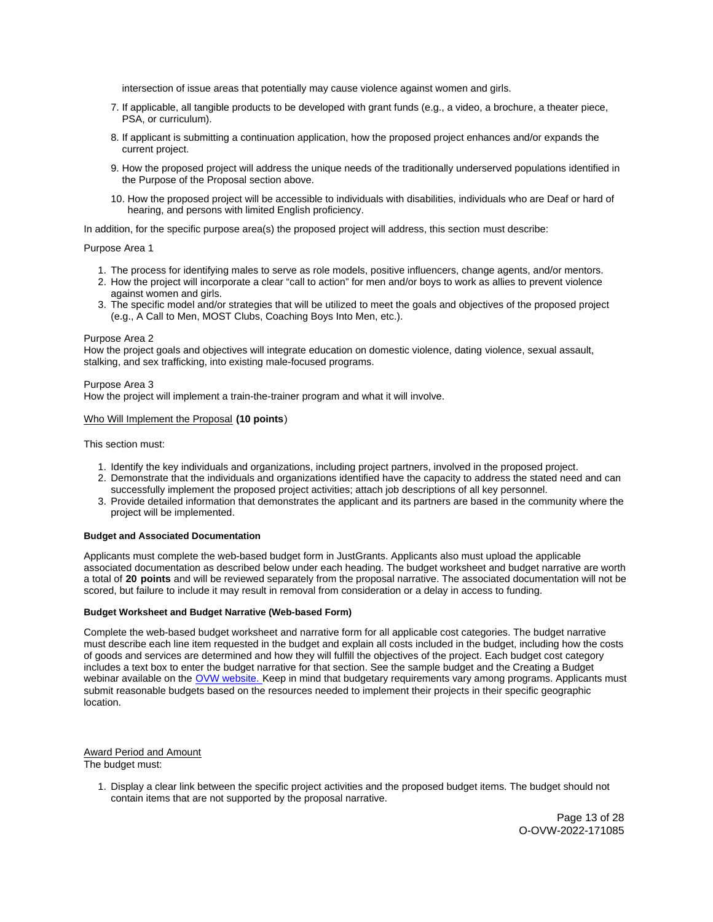<span id="page-12-0"></span>intersection of issue areas that potentially may cause violence against women and girls.

- 7. If applicable, all tangible products to be developed with grant funds (e.g., a video, a brochure, a theater piece, PSA, or curriculum).
- 8. If applicant is submitting a continuation application, how the proposed project enhances and/or expands the current project.
- 9. How the proposed project will address the unique needs of the traditionally underserved populations identified in the Purpose of the Proposal section above.
- 10. How the proposed project will be accessible to individuals with disabilities, individuals who are Deaf or hard of hearing, and persons with limited English proficiency.

In addition, for the specific purpose area(s) the proposed project will address, this section must describe:

## Purpose Area 1

- 1. The process for identifying males to serve as role models, positive influencers, change agents, and/or mentors.
- 2. How the project will incorporate a clear "call to action" for men and/or boys to work as allies to prevent violence against women and girls.
- 3. The specific model and/or strategies that will be utilized to meet the goals and objectives of the proposed project (e.g., A Call to Men, MOST Clubs, Coaching Boys Into Men, etc.).

## Purpose Area 2

How the project goals and objectives will integrate education on domestic violence, dating violence, sexual assault, stalking, and sex trafficking, into existing male-focused programs.

Purpose Area 3

How the project will implement a train-the-trainer program and what it will involve.

## Who Will Implement the Proposal **(10 points**)

This section must:

- 1. Identify the key individuals and organizations, including project partners, involved in the proposed project.
- 2. Demonstrate that the individuals and organizations identified have the capacity to address the stated need and can successfully implement the proposed project activities; attach job descriptions of all key personnel.
- 3. Provide detailed information that demonstrates the applicant and its partners are based in the community where the project will be implemented.

## **Budget and Associated Documentation**

Applicants must complete the web-based budget form in JustGrants. Applicants also must upload the applicable associated documentation as described below under each heading. The budget worksheet and budget narrative are worth a total of **20 points** and will be reviewed separately from the proposal narrative. The associated documentation will not be scored, but failure to include it may result in removal from consideration or a delay in access to funding.

## **Budget Worksheet and Budget Narrative (Web-based Form)**

Complete the web-based budget worksheet and narrative form for all applicable cost categories. The budget narrative must describe each line item requested in the budget and explain all costs included in the budget, including how the costs of goods and services are determined and how they will fulfill the objectives of the project. Each budget cost category includes a text box to enter the budget narrative for that section. See the sample budget and the Creating a Budget webinar available on the [OVW website.](https://www.justice.gov/ovw/resources-applicants) Keep in mind that budgetary requirements vary among programs. Applicants must submit reasonable budgets based on the resources needed to implement their projects in their specific geographic location.

Award Period and Amount The budget must:

> 1. Display a clear link between the specific project activities and the proposed budget items. The budget should not contain items that are not supported by the proposal narrative.

> > Page 13 of 28 O-OVW-2022-171085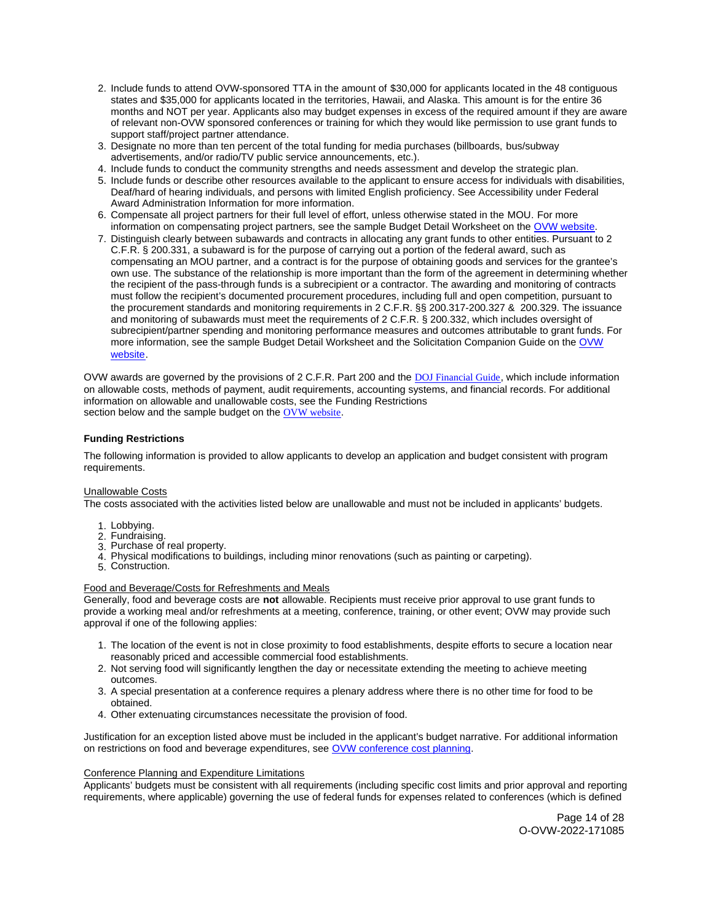- <span id="page-13-0"></span>2. Include funds to attend OVW-sponsored TTA in the amount of \$30,000 for applicants located in the 48 contiguous states and \$35,000 for applicants located in the territories, Hawaii, and Alaska. This amount is for the entire 36 months and NOT per year. Applicants also may budget expenses in excess of the required amount if they are aware of relevant non-OVW sponsored conferences or training for which they would like permission to use grant funds to support staff/project partner attendance.
- 3. Designate no more than ten percent of the total funding for media purchases (billboards, bus/subway advertisements, and/or radio/TV public service announcements, etc.).
- 4. Include funds to conduct the community strengths and needs assessment and develop the strategic plan.
- 5. Include funds or describe other resources available to the applicant to ensure access for individuals with disabilities, Deaf/hard of hearing individuals, and persons with limited English proficiency. See Accessibility under Federal Award Administration Information for more information.
- 6. Compensate all project partners for their full level of effort, unless otherwise stated in the MOU. For more information on compensating project partners, see the sample Budget Detail Worksheet on the [OVW website.](https://www.justice.gov/ovw/resources-applicants)
- 7. Distinguish clearly between subawards and contracts in allocating any grant funds to other entities. Pursuant to 2 C.F.R. § 200.331, a subaward is for the purpose of carrying out a portion of the federal award, such as compensating an MOU partner, and a contract is for the purpose of obtaining goods and services for the grantee's own use. The substance of the relationship is more important than the form of the agreement in determining whether the recipient of the pass-through funds is a subrecipient or a contractor. The awarding and monitoring of contracts must follow the recipient's documented procurement procedures, including full and open competition, pursuant to the procurement standards and monitoring requirements in 2 C.F.R. §§ 200.317-200.327 & 200.329. The issuance and monitoring of subawards must meet the requirements of 2 C.F.R. § 200.332, which includes oversight of subrecipient/partner spending and monitoring performance measures and outcomes attributable to grant funds. For more information, see the sample Budget Detail Worksheet and the Solicitation Companion Guide on the [OVW](https://www.justice.gov/ovw/resources-applicants)  [website.](https://www.justice.gov/ovw/resources-applicants)

OVW awards are governed by the provisions of 2 C.F.R. Part 200 and the [DOJ Financial Guide](https://www.justice.gov/ovw/file/1030311/download), which include information on allowable costs, methods of payment, audit requirements, accounting systems, and financial records. For additional information on allowable and unallowable costs, see the Funding Restrictions section below and the sample budget on the [OVW website](https://www.justice.gov/ovw/resources-applicants).

## **Funding Restrictions**

The following information is provided to allow applicants to develop an application and budget consistent with program requirements.

## Unallowable Costs

The costs associated with the activities listed below are unallowable and must not be included in applicants' budgets.

- 1. Lobbying.
- 2. Fundraising.
- 3. Purchase of real property.
- 4. Physical modifications to buildings, including minor renovations (such as painting or carpeting).
- 5. Construction.

## Food and Beverage/Costs for Refreshments and Meals

Generally, food and beverage costs are **not** allowable. Recipients must receive prior approval to use grant funds to provide a working meal and/or refreshments at a meeting, conference, training, or other event; OVW may provide such approval if one of the following applies:

- 1. The location of the event is not in close proximity to food establishments, despite efforts to secure a location near reasonably priced and accessible commercial food establishments.
- 2. Not serving food will significantly lengthen the day or necessitate extending the meeting to achieve meeting outcomes.
- 3. A special presentation at a conference requires a plenary address where there is no other time for food to be obtained.
- 4. Other extenuating circumstances necessitate the provision of food.

Justification for an exception listed above must be included in the applicant's budget narrative. For additional information on restrictions on food and beverage expenditures, see [OVW conference cost planning.](https://www.justice.gov/ovw/conference-planning)

## Conference Planning and Expenditure Limitations

Applicants' budgets must be consistent with all requirements (including specific cost limits and prior approval and reporting requirements, where applicable) governing the use of federal funds for expenses related to conferences (which is defined

> Page 14 of 28 O-OVW-2022-171085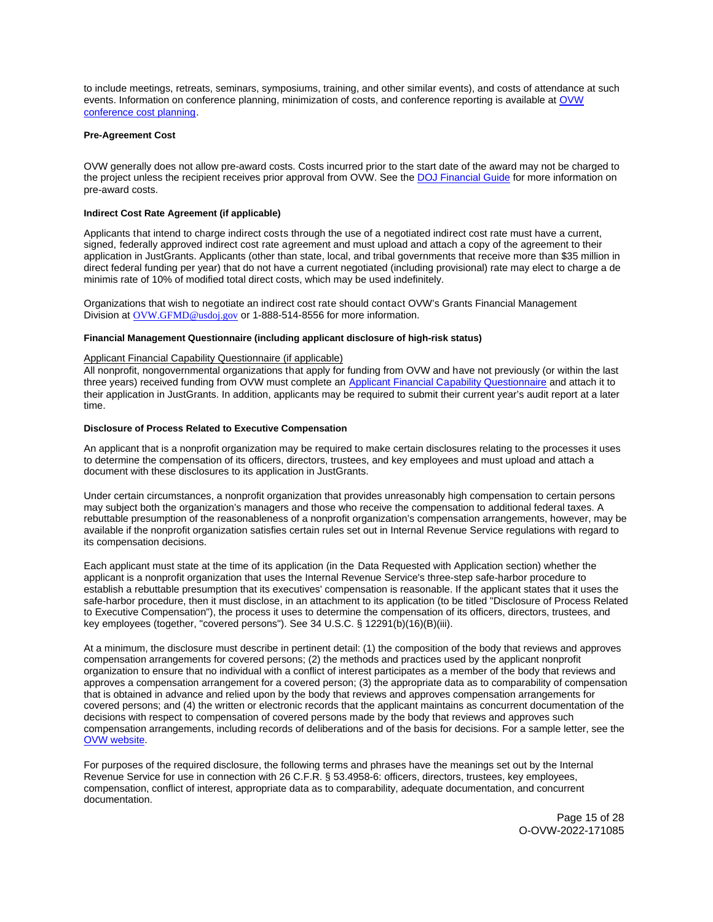<span id="page-14-0"></span>to include meetings, retreats, seminars, symposiums, training, and other similar events), and costs of attendance at such events. Information on conference planning, minimization of costs, and conference reporting is available at [OVW](https://www.justice.gov/ovw/conference-planning)  [conference cost planning.](https://www.justice.gov/ovw/conference-planning)

## **Pre-Agreement Cost**

OVW generally does not allow pre-award costs. Costs incurred prior to the start date of the award may not be charged to the project unless the recipient receives prior approval from OVW. See the [DOJ Financial Guide](https://www.justice.gov/ovw/file/1030311/download) for more information on pre-award costs.

## **Indirect Cost Rate Agreement (if applicable)**

Applicants that intend to charge indirect costs through the use of a negotiated indirect cost rate must have a current, signed, federally approved indirect cost rate agreement and must upload and attach a copy of the agreement to their application in JustGrants. Applicants (other than state, local, and tribal governments that receive more than \$35 million in direct federal funding per year) that do not have a current negotiated (including provisional) rate may elect to charge a de minimis rate of 10% of modified total direct costs, which may be used indefinitely.

Organizations that wish to negotiate an indirect cost rate should contact OVW's Grants Financial Management Division at [OVW.GFMD@usdoj.gov](mailto:OVW.GFMD@usdoj.gov) or 1-888-514-8556 for more information.

## **Financial Management Questionnaire (including applicant disclosure of high-risk status)**

## Applicant Financial Capability Questionnaire (if applicable)

All nonprofit, nongovernmental organizations that apply for funding from OVW and have not previously (or within the last three years) received funding from OVW must complete an [Applicant Financial Capability Questionnaire](https://www.justice.gov/ovw/file/866126/download) and attach it to their application in JustGrants. In addition, applicants may be required to submit their current year's audit report at a later time.

## **Disclosure of Process Related to Executive Compensation**

An applicant that is a nonprofit organization may be required to make certain disclosures relating to the processes it uses to determine the compensation of its officers, directors, trustees, and key employees and must upload and attach a document with these disclosures to its application in JustGrants.

Under certain circumstances, a nonprofit organization that provides unreasonably high compensation to certain persons may subject both the organization's managers and those who receive the compensation to additional federal taxes. A rebuttable presumption of the reasonableness of a nonprofit organization's compensation arrangements, however, may be available if the nonprofit organization satisfies certain rules set out in Internal Revenue Service regulations with regard to its compensation decisions.

Each applicant must state at the time of its application (in the Data Requested with Application section) whether the applicant is a nonprofit organization that uses the Internal Revenue Service's three-step safe-harbor procedure to establish a rebuttable presumption that its executives' compensation is reasonable. If the applicant states that it uses the safe-harbor procedure, then it must disclose, in an attachment to its application (to be titled "Disclosure of Process Related to Executive Compensation"), the process it uses to determine the compensation of its officers, directors, trustees, and key employees (together, "covered persons"). See 34 U.S.C. § 12291(b)(16)(B)(iii).

At a minimum, the disclosure must describe in pertinent detail: (1) the composition of the body that reviews and approves compensation arrangements for covered persons; (2) the methods and practices used by the applicant nonprofit organization to ensure that no individual with a conflict of interest participates as a member of the body that reviews and approves a compensation arrangement for a covered person; (3) the appropriate data as to comparability of compensation that is obtained in advance and relied upon by the body that reviews and approves compensation arrangements for covered persons; and (4) the written or electronic records that the applicant maintains as concurrent documentation of the decisions with respect to compensation of covered persons made by the body that reviews and approves such compensation arrangements, including records of deliberations and of the basis for decisions. For a sample letter, see the [OVW website.](https://www.justice.gov/ovw/resources-applicants)

For purposes of the required disclosure, the following terms and phrases have the meanings set out by the Internal Revenue Service for use in connection with 26 C.F.R. § 53.4958-6: officers, directors, trustees, key employees, compensation, conflict of interest, appropriate data as to comparability, adequate documentation, and concurrent documentation.

> Page 15 of 28 O-OVW-2022-171085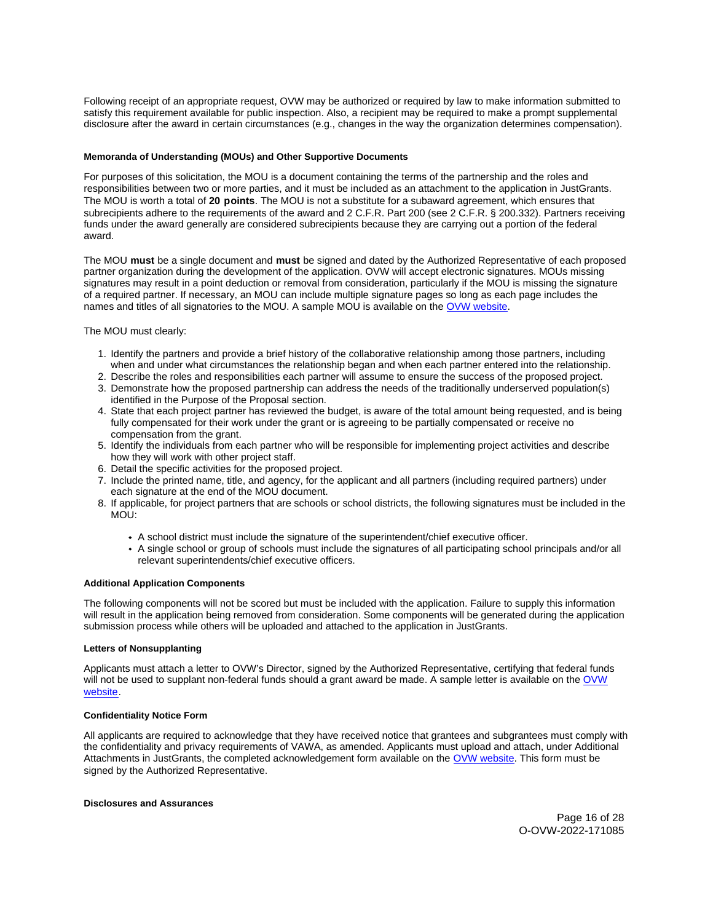<span id="page-15-0"></span>Following receipt of an appropriate request, OVW may be authorized or required by law to make information submitted to satisfy this requirement available for public inspection. Also, a recipient may be required to make a prompt supplemental disclosure after the award in certain circumstances (e.g., changes in the way the organization determines compensation).

## **Memoranda of Understanding (MOUs) and Other Supportive Documents**

For purposes of this solicitation, the MOU is a document containing the terms of the partnership and the roles and responsibilities between two or more parties, and it must be included as an attachment to the application in JustGrants. The MOU is worth a total of **20 points**. The MOU is not a substitute for a subaward agreement, which ensures that subrecipients adhere to the requirements of the award and 2 C.F.R. Part 200 (see 2 C.F.R. § 200.332). Partners receiving funds under the award generally are considered subrecipients because they are carrying out a portion of the federal award.

The MOU **must** be a single document and **must** be signed and dated by the Authorized Representative of each proposed partner organization during the development of the application. OVW will accept electronic signatures. MOUs missing signatures may result in a point deduction or removal from consideration, particularly if the MOU is missing the signature of a required partner. If necessary, an MOU can include multiple signature pages so long as each page includes the names and titles of all signatories to the MOU. A sample MOU is available on the [OVW website.](https://www.justice.gov/ovw/resources-applicants)

The MOU must clearly:

- 1. Identify the partners and provide a brief history of the collaborative relationship among those partners, including when and under what circumstances the relationship began and when each partner entered into the relationship.
- 2. Describe the roles and responsibilities each partner will assume to ensure the success of the proposed project.
- 3. Demonstrate how the proposed partnership can address the needs of the traditionally underserved population(s) identified in the Purpose of the Proposal section.
- 4. State that each project partner has reviewed the budget, is aware of the total amount being requested, and is being fully compensated for their work under the grant or is agreeing to be partially compensated or receive no compensation from the grant.
- 5. Identify the individuals from each partner who will be responsible for implementing project activities and describe how they will work with other project staff.
- 6. Detail the specific activities for the proposed project.
- 7. Include the printed name, title, and agency, for the applicant and all partners (including required partners) under each signature at the end of the MOU document.
- 8. If applicable, for project partners that are schools or school districts, the following signatures must be included in the MOU:
	- A school district must include the signature of the superintendent/chief executive officer.
	- A single school or group of schools must include the signatures of all participating school principals and/or all relevant superintendents/chief executive officers.

## **Additional Application Components**

The following components will not be scored but must be included with the application. Failure to supply this information will result in the application being removed from consideration. Some components will be generated during the application submission process while others will be uploaded and attached to the application in JustGrants.

## **Letters of Nonsupplanting**

Applicants must attach a letter to OVW's Director, signed by the Authorized Representative, certifying that federal funds will not be used to supplant non-federal funds should a grant award be made. A sample letter is available on the OVW [website.](https://www.justice.gov/ovw/resources-applicants)

## **Confidentiality Notice Form**

All applicants are required to acknowledge that they have received notice that grantees and subgrantees must comply with the confidentiality and privacy requirements of VAWA, as amended. Applicants must upload and attach, under Additional Attachments in JustGrants, the completed acknowledgement form available on the [OVW website.](http://www.justice.gov/sites/default/files/ovw/pages/attachments/2015/01/20/confidentiality_acknowledgement_form_42015.pdf) This form must be signed by the Authorized Representative.

## **Disclosures and Assurances**

Page 16 of 28 O-OVW-2022-171085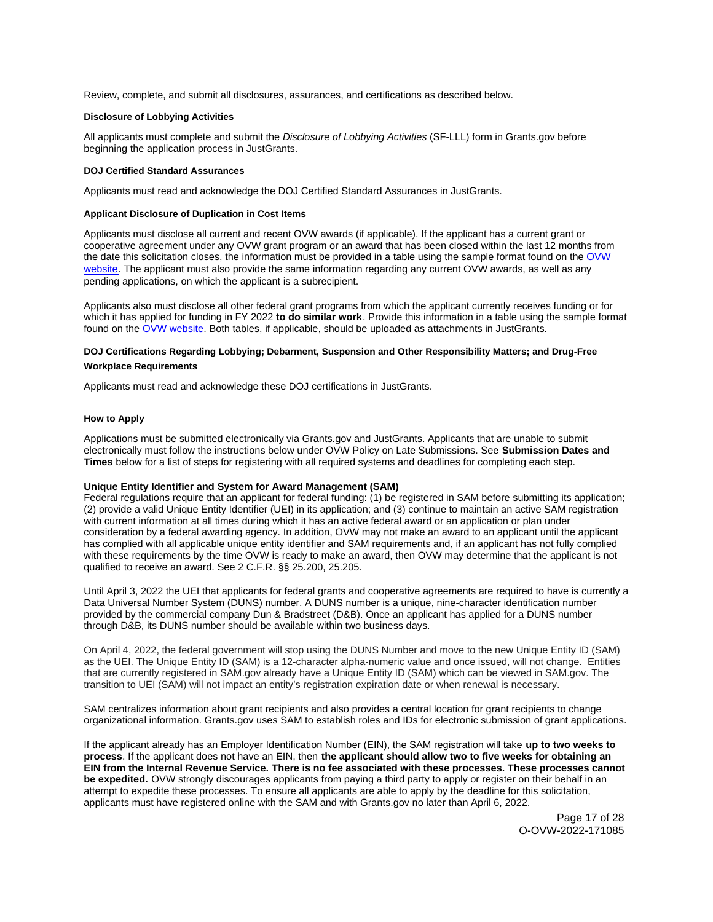<span id="page-16-0"></span>Review, complete, and submit all disclosures, assurances, and certifications as described below.

## **Disclosure of Lobbying Activities**

All applicants must complete and submit the Disclosure of Lobbying Activities (SF-LLL) form in [Grants.gov](https://Grants.gov) before beginning the application process in JustGrants.

## **DOJ Certified Standard Assurances**

Applicants must read and acknowledge the DOJ Certified Standard Assurances in JustGrants.

## **Applicant Disclosure of Duplication in Cost Items**

Applicants must disclose all current and recent OVW awards (if applicable). If the applicant has a current grant or cooperative agreement under any OVW grant program or an award that has been closed within the last 12 months from the date this solicitation closes, the information must be provided in a table using the sample format found on the OVW [website.](https://www.justice.gov/ovw/resources-applicants) The applicant must also provide the same information regarding any current OVW awards, as well as any pending applications, on which the applicant is a subrecipient.

Applicants also must disclose all other federal grant programs from which the applicant currently receives funding or for which it has applied for funding in FY 2022 **to do similar work**. Provide this information in a table using the sample format found on the [OVW website.](https://www.justice.gov/ovw/resources-applicants) Both tables, if applicable, should be uploaded as attachments in JustGrants.

## **DOJ Certifications Regarding Lobbying; Debarment, Suspension and Other Responsibility Matters; and Drug-Free Workplace Requirements**

Applicants must read and acknowledge these DOJ certifications in JustGrants.

## **How to Apply**

Applications must be submitted electronically via [Grants.gov](https://Grants.gov) and JustGrants. Applicants that are unable to submit electronically must follow the instructions below under OVW Policy on Late Submissions. See **Submission Dates and Times** below for a list of steps for registering with all required systems and deadlines for completing each step.

## **Unique Entity Identifier and System for Award Management (SAM)**

Federal regulations require that an applicant for federal funding: (1) be registered in SAM before submitting its application; (2) provide a valid Unique Entity Identifier (UEI) in its application; and (3) continue to maintain an active SAM registration with current information at all times during which it has an active federal award or an application or plan under consideration by a federal awarding agency. In addition, OVW may not make an award to an applicant until the applicant has complied with all applicable unique entity identifier and SAM requirements and, if an applicant has not fully complied with these requirements by the time OVW is ready to make an award, then OVW may determine that the applicant is not qualified to receive an award. See 2 C.F.R. §§ 25.200, 25.205.

Until April 3, 2022 the UEI that applicants for federal grants and cooperative agreements are required to have is currently a Data Universal Number System (DUNS) number. A DUNS number is a unique, nine-character identification number provided by the commercial company Dun & Bradstreet (D&B). Once an applicant has applied for a DUNS number through D&B, its DUNS number should be available within two business days.

On April 4, 2022, the federal government will stop using the DUNS Number and move to the new Unique Entity ID (SAM) as the UEI. The Unique Entity ID (SAM) is a 12-character alpha-numeric value and once issued, will not change. Entities that are currently registered in SAM.gov already have a Unique Entity ID (SAM) which can be viewed in SAM.gov. The transition to UEI (SAM) will not impact an entity's registration expiration date or when renewal is necessary.

SAM centralizes information about grant recipients and also provides a central location for grant recipients to change organizational information. [Grants.gov](https://Grants.gov) uses SAM to establish roles and IDs for electronic submission of grant applications.

If the applicant already has an Employer Identification Number (EIN), the SAM registration will take **up to two weeks to process**. If the applicant does not have an EIN, then **the applicant should allow two to five weeks for obtaining an EIN from the Internal Revenue Service. There is no fee associated with these processes. These processes cannot be expedited.** OVW strongly discourages applicants from paying a third party to apply or register on their behalf in an attempt to expedite these processes. To ensure all applicants are able to apply by the deadline for this solicitation, applicants must have registered online with the SAM and with [Grants.gov](https://Grants.gov) no later than April 6, 2022.

> Page 17 of 28 O-OVW-2022-171085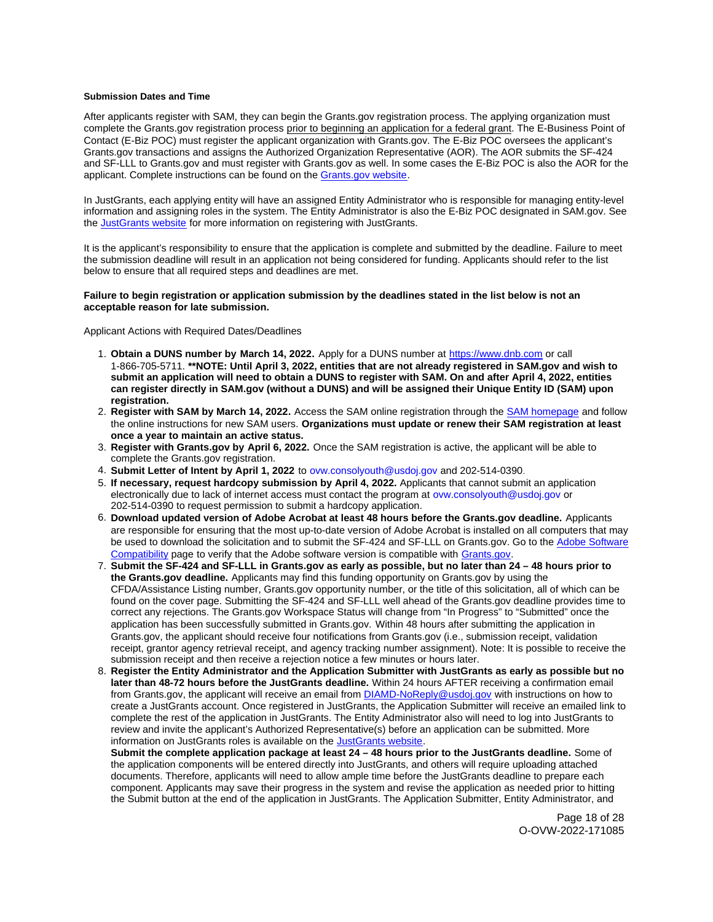#### <span id="page-17-0"></span>**Submission Dates and Time**

After applicants register with SAM, they can begin the [Grants.gov](https://Grants.gov) registration process. The applying organization must complete the [Grants.gov](https://Grants.gov) registration process prior to beginning an application for a federal grant. The E-Business Point of Contact (E-Biz POC) must register the applicant organization with [Grants.gov](https://Grants.gov). The E-Biz POC oversees the applicant's [Grants.gov](https://Grants.gov) transactions and assigns the Authorized Organization Representative (AOR). The AOR submits the SF-424 and SF-LLL to [Grants.gov](https://Grants.gov) and must register with [Grants.gov](https://Grants.gov) as well. In some cases the E-Biz POC is also the AOR for the applicant. Complete instructions can be found on the [Grants.gov website.](https://www.grants.gov/web/grants/applicants/registration.html)

In JustGrants, each applying entity will have an assigned Entity Administrator who is responsible for managing entity-level information and assigning roles in the system. The Entity Administrator is also the E-Biz POC designated in SAM.gov. See the [JustGrants website](https://justicegrants.usdoj.gov/) for more information on registering with JustGrants.

It is the applicant's responsibility to ensure that the application is complete and submitted by the deadline. Failure to meet the submission deadline will result in an application not being considered for funding. Applicants should refer to the list below to ensure that all required steps and deadlines are met.

## **Failure to begin registration or application submission by the deadlines stated in the list below is not an acceptable reason for late submission.**

Applicant Actions with Required Dates/Deadlines

- 1. **Obtain a DUNS number by March 14, 2022.** Apply for a DUNS number at <https://www.dnb.com>or call 1-866-705-5711. **\*\*NOTE: Until April 3, 2022, entities that are not already registered in SAM.gov and wish to submit an application will need to obtain a DUNS to register with SAM. On and after April 4, 2022, entities can register directly in SAM.gov (without a DUNS) and will be assigned their Unique Entity ID (SAM) upon registration.**
- 2. **Register with SAM by March 14, 2022.** Access the SAM online registration through the [SAM homepage](https://sam.gov/SAM/) and follow the online instructions for new SAM users. **Organizations must update or renew their SAM registration at least once a year to maintain an active status.**
- 3. **Register with [Grants.gov](https://Grants.gov) by April 6, 2022.** Once the SAM registration is active, the applicant will be able to complete the [Grants.gov](https://Grants.gov) registration.
- 4. **Submit Letter of Intent by April 1, 2022** to [ovw.consolyouth@usdoj.gov](mailto:ovw.consolyouth@usdoj.gov) and 202-514-0390.
- 5. **If necessary, request hardcopy submission by April 4, 2022.** Applicants that cannot submit an application electronically due to lack of internet access must contact the program at [ovw.consolyouth@usdoj.gov](mailto:ovw.consolyouth@usdoj.gov) or 202-514-0390 to request permission to submit a hardcopy application.
- 6. **Download updated version of Adobe Acrobat at least 48 hours before the [Grants.gov](https://Grants.gov) deadline.** Applicants are responsible for ensuring that the most up-to-date version of Adobe Acrobat is installed on all computers that may be used to download the solicitation and to submit the SF-424 and SF-LLL on [Grants.gov](https://Grants.gov). Go to the [Adobe Software](https://www.grants.gov/web/grants/applicants/adobe-software-compatibility.html)  [Compatibility](https://www.grants.gov/web/grants/applicants/adobe-software-compatibility.html) page to verify that the Adobe software version is compatible with [Grants.gov.](http://www.grants.gov)
- 7. **Submit the SF-424 and SF-LLL in [Grants.gov](https://Grants.gov) as early as possible, but no later than 24 48 hours prior to the [Grants.gov](https://Grants.gov) deadline.** Applicants may find this funding opportunity on [Grants.gov](https://Grants.gov) by using the CFDA/Assistance Listing number, [Grants.gov](https://Grants.gov) opportunity number, or the title of this solicitation, all of which can be found on the cover page. Submitting the SF-424 and SF-LLL well ahead of the [Grants.gov](https://Grants.gov) deadline provides time to correct any rejections. The [Grants.gov](https://Grants.gov) Workspace Status will change from "In Progress" to "Submitted" once the application has been successfully submitted in [Grants.gov.](https://Grants.gov) Within 48 hours after submitting the application in [Grants.gov,](https://Grants.gov) the applicant should receive four notifications from [Grants.gov](https://Grants.gov) (i.e., submission receipt, validation receipt, grantor agency retrieval receipt, and agency tracking number assignment). Note: It is possible to receive the submission receipt and then receive a rejection notice a few minutes or hours later.
- 8. **Register the Entity Administrator and the Application Submitter with JustGrants as early as possible but no later than 48-72 hours before the JustGrants deadline.** Within 24 hours AFTER receiving a confirmation email from [Grants.gov](https://Grants.gov), the applicant will receive an email from [DIAMD-NoReply@usdoj.gov](mailto:DIAMD-NoReply@usdoj.gov) with instructions on how to create a JustGrants account. Once registered in JustGrants, the Application Submitter will receive an emailed link to complete the rest of the application in JustGrants. The Entity Administrator also will need to log into JustGrants to review and invite the applicant's Authorized Representative(s) before an application can be submitted. More information on JustGrants roles is available on the [JustGrants website.](https://justicegrants.usdoj.gov/getting-started#secureOnboarding)

**Submit the complete application package at least 24 – 48 hours prior to the JustGrants deadline.** Some of the application components will be entered directly into JustGrants, and others will require uploading attached documents. Therefore, applicants will need to allow ample time before the JustGrants deadline to prepare each component. Applicants may save their progress in the system and revise the application as needed prior to hitting the Submit button at the end of the application in JustGrants. The Application Submitter, Entity Administrator, and

> Page 18 of 28 O-OVW-2022-171085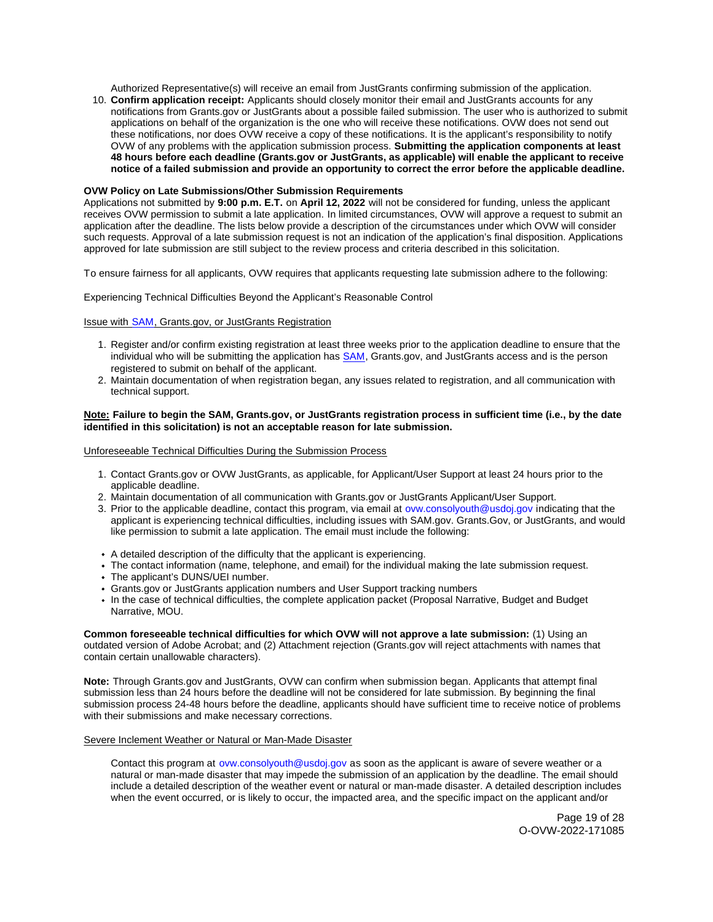Authorized Representative(s) will receive an email from JustGrants confirming submission of the application.

10. **Confirm application receipt:** Applicants should closely monitor their email and JustGrants accounts for any notifications from [Grants.gov](https://Grants.gov) or JustGrants about a possible failed submission. The user who is authorized to submit applications on behalf of the organization is the one who will receive these notifications. OVW does not send out these notifications, nor does OVW receive a copy of these notifications. It is the applicant's responsibility to notify OVW of any problems with the application submission process. **Submitting the application components at least 48 hours before each deadline ([Grants.gov](https://Grants.gov) or JustGrants, as applicable) will enable the applicant to receive notice of a failed submission and provide an opportunity to correct the error before the applicable deadline.** 

## **OVW Policy on Late Submissions/Other Submission Requirements**

Applications not submitted by **9:00 p.m. E.T.** on **April 12, 2022** will not be considered for funding, unless the applicant receives OVW permission to submit a late application. In limited circumstances, OVW will approve a request to submit an application after the deadline. The lists below provide a description of the circumstances under which OVW will consider such requests. Approval of a late submission request is not an indication of the application's final disposition. Applications approved for late submission are still subject to the review process and criteria described in this solicitation.

To ensure fairness for all applicants, OVW requires that applicants requesting late submission adhere to the following:

Experiencing Technical Difficulties Beyond the Applicant's Reasonable Control

Issue with SAM, [Grants.gov,](https://Grants.gov) or JustGrants Registration

- 1. Register and/or confirm existing registration at least three weeks prior to the application deadline to ensure that the individual who will be submitting the application has [SAM,](https://www.sam.gov/portal/SAM/#1) [Grants.gov,](https://Grants.gov) and JustGrants access and is the person registered to submit on behalf of the applicant.
- 2. Maintain documentation of when registration began, any issues related to registration, and all communication with technical support.

## **Note: Failure to begin the SAM, [Grants.gov,](https://Grants.gov) or JustGrants registration process in sufficient time (i.e., by the date identified in this solicitation) is not an acceptable reason for late submission.**

Unforeseeable Technical Difficulties During the Submission Process

- 1. Contact [Grants.gov](https://Grants.gov) or OVW JustGrants, as applicable, for Applicant/User Support at least 24 hours prior to the applicable deadline.
- 2. Maintain documentation of all communication with [Grants.gov](https://Grants.gov) or JustGrants Applicant/User Support.
- 3. Prior to the applicable deadline, contact this program, via email at [ovw.consolyouth@usdoj.gov](mailto:ovw.consolyouth@usdoj.gov) indicating that the applicant is experiencing technical difficulties, including issues with SAM.gov. [Grants.Gov](https://Grants.Gov), or JustGrants, and would like permission to submit a late application. The email must include the following:
- A detailed description of the difficulty that the applicant is experiencing.
- The contact information (name, telephone, and email) for the individual making the late submission request.
- The applicant's DUNS/UEI number.
- [Grants.gov](https://Grants.gov) or JustGrants application numbers and User Support tracking numbers
- In the case of technical difficulties, the complete application packet (Proposal Narrative, Budget and Budget Narrative, MOU.

**Common foreseeable technical difficulties for which OVW will not approve a late submission:** (1) Using an outdated version of Adobe Acrobat; and (2) Attachment rejection [\(Grants.gov](https://Grants.gov) will reject attachments with names that contain certain unallowable characters).

**Note:** Through [Grants.gov](https://Grants.gov) and JustGrants, OVW can confirm when submission began. Applicants that attempt final submission less than 24 hours before the deadline will not be considered for late submission. By beginning the final submission process 24-48 hours before the deadline, applicants should have sufficient time to receive notice of problems with their submissions and make necessary corrections.

#### Severe Inclement Weather or Natural or Man-Made Disaster

Contact this program at [ovw.consolyouth@usdoj.gov](mailto:ovw.consolyouth@usdoj.gov) as soon as the applicant is aware of severe weather or a natural or man-made disaster that may impede the submission of an application by the deadline. The email should include a detailed description of the weather event or natural or man-made disaster. A detailed description includes when the event occurred, or is likely to occur, the impacted area, and the specific impact on the applicant and/or

> Page 19 of 28 O-OVW-2022-171085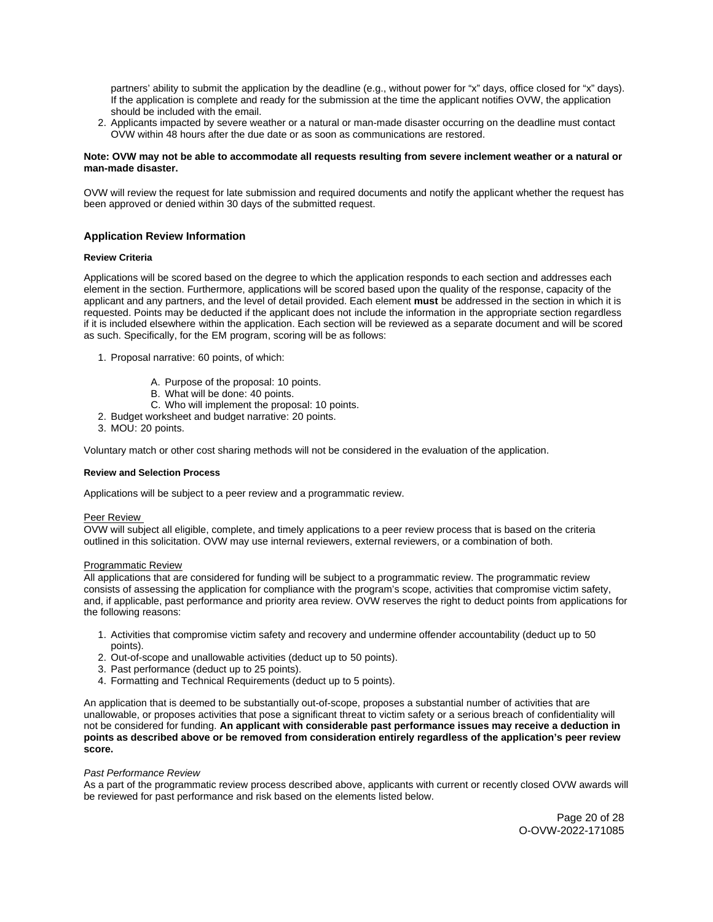<span id="page-19-0"></span>partners' ability to submit the application by the deadline (e.g., without power for "x" days, office closed for "x" days). If the application is complete and ready for the submission at the time the applicant notifies OVW, the application should be included with the email.

2. Applicants impacted by severe weather or a natural or man-made disaster occurring on the deadline must contact OVW within 48 hours after the due date or as soon as communications are restored.

## **Note: OVW may not be able to accommodate all requests resulting from severe inclement weather or a natural or man-made disaster.**

OVW will review the request for late submission and required documents and notify the applicant whether the request has been approved or denied within 30 days of the submitted request.

## **Application Review Information**

## **Review Criteria**

Applications will be scored based on the degree to which the application responds to each section and addresses each element in the section. Furthermore, applications will be scored based upon the quality of the response, capacity of the applicant and any partners, and the level of detail provided. Each element **must** be addressed in the section in which it is requested. Points may be deducted if the applicant does not include the information in the appropriate section regardless if it is included elsewhere within the application. Each section will be reviewed as a separate document and will be scored as such. Specifically, for the EM program, scoring will be as follows:

- 1. Proposal narrative: 60 points, of which:
	- A. Purpose of the proposal: 10 points.
	- B. What will be done: 40 points.
	- C. Who will implement the proposal: 10 points.
- 2. Budget worksheet and budget narrative: 20 points.
- 3. MOU: 20 points.

Voluntary match or other cost sharing methods will not be considered in the evaluation of the application.

#### **Review and Selection Process**

Applications will be subject to a peer review and a programmatic review.

## Peer Review

OVW will subject all eligible, complete, and timely applications to a peer review process that is based on the criteria outlined in this solicitation. OVW may use internal reviewers, external reviewers, or a combination of both.

#### Programmatic Review

All applications that are considered for funding will be subject to a programmatic review. The programmatic review consists of assessing the application for compliance with the program's scope, activities that compromise victim safety, and, if applicable, past performance and priority area review. OVW reserves the right to deduct points from applications for the following reasons:

- 1. Activities that compromise victim safety and recovery and undermine offender accountability (deduct up to 50 points).
- 2. Out-of-scope and unallowable activities (deduct up to 50 points).
- 3. Past performance (deduct up to 25 points).
- 4. Formatting and Technical Requirements (deduct up to 5 points).

An application that is deemed to be substantially out-of-scope, proposes a substantial number of activities that are unallowable, or proposes activities that pose a significant threat to victim safety or a serious breach of confidentiality will not be considered for funding. **An applicant with considerable past performance issues may receive a deduction in points as described above or be removed from consideration entirely regardless of the application's peer review score.** 

## Past Performance Review

As a part of the programmatic review process described above, applicants with current or recently closed OVW awards will be reviewed for past performance and risk based on the elements listed below.

> Page 20 of 28 O-OVW-2022-171085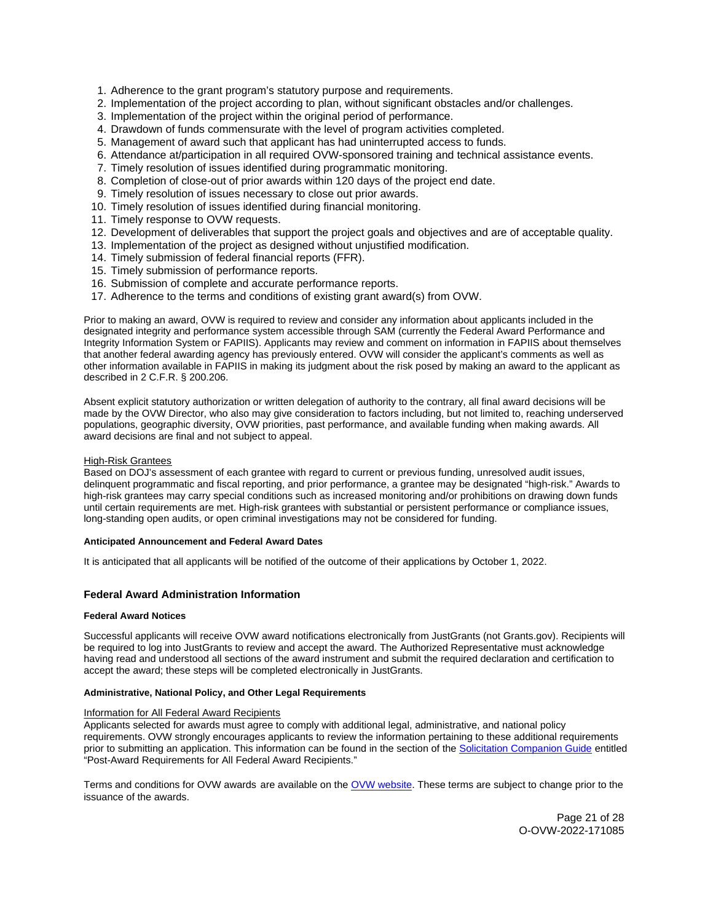- <span id="page-20-0"></span>1. Adherence to the grant program's statutory purpose and requirements.
- 2. Implementation of the project according to plan, without significant obstacles and/or challenges.
- 3. Implementation of the project within the original period of performance.
- 4. Drawdown of funds commensurate with the level of program activities completed.
- 5. Management of award such that applicant has had uninterrupted access to funds.
- 6. Attendance at/participation in all required OVW-sponsored training and technical assistance events.
- 7. Timely resolution of issues identified during programmatic monitoring.
- 8. Completion of close-out of prior awards within 120 days of the project end date.
- 9. Timely resolution of issues necessary to close out prior awards.
- 10. Timely resolution of issues identified during financial monitoring.
- 11. Timely response to OVW requests.
- 12. Development of deliverables that support the project goals and objectives and are of acceptable quality.
- 13. Implementation of the project as designed without unjustified modification.
- 14. Timely submission of federal financial reports (FFR).
- 15. Timely submission of performance reports.
- 16. Submission of complete and accurate performance reports.
- 17. Adherence to the terms and conditions of existing grant award(s) from OVW.

Prior to making an award, OVW is required to review and consider any information about applicants included in the designated integrity and performance system accessible through SAM (currently the Federal Award Performance and Integrity Information System or FAPIIS). Applicants may review and comment on information in FAPIIS about themselves that another federal awarding agency has previously entered. OVW will consider the applicant's comments as well as other information available in FAPIIS in making its judgment about the risk posed by making an award to the applicant as described in 2 C.F.R. § 200.206.

Absent explicit statutory authorization or written delegation of authority to the contrary, all final award decisions will be made by the OVW Director, who also may give consideration to factors including, but not limited to, reaching underserved populations, geographic diversity, OVW priorities, past performance, and available funding when making awards. All award decisions are final and not subject to appeal.

## High-Risk Grantees

Based on DOJ's assessment of each grantee with regard to current or previous funding, unresolved audit issues, delinquent programmatic and fiscal reporting, and prior performance, a grantee may be designated "high-risk." Awards to high-risk grantees may carry special conditions such as increased monitoring and/or prohibitions on drawing down funds until certain requirements are met. High-risk grantees with substantial or persistent performance or compliance issues, long-standing open audits, or open criminal investigations may not be considered for funding.

#### **Anticipated Announcement and Federal Award Dates**

It is anticipated that all applicants will be notified of the outcome of their applications by October 1, 2022.

## **Federal Award Administration Information**

## **Federal Award Notices**

Successful applicants will receive OVW award notifications electronically from JustGrants (not [Grants.gov](https://Grants.gov)). Recipients will be required to log into JustGrants to review and accept the award. The Authorized Representative must acknowledge having read and understood all sections of the award instrument and submit the required declaration and certification to accept the award; these steps will be completed electronically in JustGrants.

#### **Administrative, National Policy, and Other Legal Requirements**

## Information for All Federal Award Recipients

Applicants selected for awards must agree to comply with additional legal, administrative, and national policy requirements. OVW strongly encourages applicants to review the information pertaining to these additional requirements prior to submitting an application. This information can be found in the section of the [Solicitation Companion Guide](https://www.justice.gov/ovw/resources-applicants) entitled "Post-Award Requirements for All Federal Award Recipients."

Terms and conditions for OVW awards are available on the [OVW website.](https://www.justice.gov/ovw/award-conditions) These terms are subject to change prior to the issuance of the awards.

> Page 21 of 28 O-OVW-2022-171085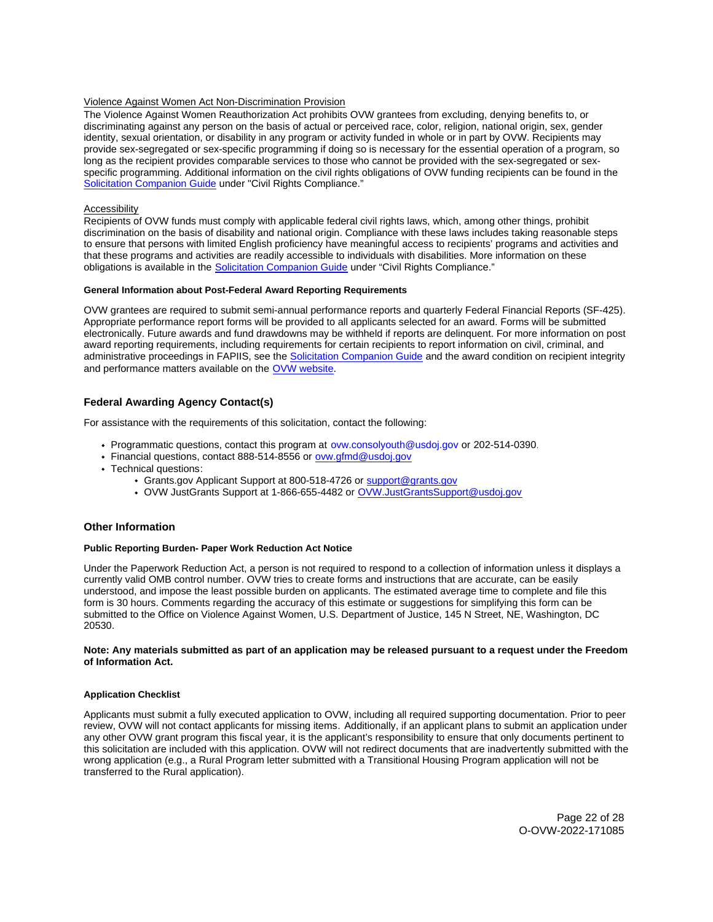## <span id="page-21-0"></span>Violence Against Women Act Non-Discrimination Provision

The Violence Against Women Reauthorization Act prohibits OVW grantees from excluding, denying benefits to, or discriminating against any person on the basis of actual or perceived race, color, religion, national origin, sex, gender identity, sexual orientation, or disability in any program or activity funded in whole or in part by OVW. Recipients may provide sex-segregated or sex-specific programming if doing so is necessary for the essential operation of a program, so long as the recipient provides comparable services to those who cannot be provided with the sex-segregated or sexspecific programming. Additional information on the civil rights obligations of OVW funding recipients can be found in the [Solicitation Companion Guide](https://www.justice.gov/ovw/resources-applicants) under "Civil Rights Compliance."

## Accessibility

Recipients of OVW funds must comply with applicable federal civil rights laws, which, among other things, prohibit discrimination on the basis of disability and national origin. Compliance with these laws includes taking reasonable steps to ensure that persons with limited English proficiency have meaningful access to recipients' programs and activities and that these programs and activities are readily accessible to individuals with disabilities. More information on these obligations is available in the [Solicitation Companion Guide](https://www.justice.gov/ovw/resources-applicants) under "Civil Rights Compliance."

## **General Information about Post-Federal Award Reporting Requirements**

OVW grantees are required to submit semi-annual performance reports and quarterly Federal Financial Reports (SF-425). Appropriate performance report forms will be provided to all applicants selected for an award. Forms will be submitted electronically. Future awards and fund drawdowns may be withheld if reports are delinquent. For more information on post award reporting requirements, including requirements for certain recipients to report information on civil, criminal, and administrative proceedings in FAPIIS, see the [Solicitation Companion Guide](https://www.justice.gov/ovw/resources-applicants) and the award condition on recipient integrity and performance matters available on the [OVW website.](https://www.justice.gov/ovw/award-conditions)

## **Federal Awarding Agency Contact(s)**

For assistance with the requirements of this solicitation, contact the following:

- Programmatic questions, contact this program at [ovw.consolyouth@usdoj.gov](mailto:ovw.consolyouth@usdoj.gov) or 202-514-0390.
- Financial questions, contact 888-514-8556 or ovw.gfmd@usdoj.gov
- Technical questions:
	- [Grants.gov](https://Grants.gov) Applicant Support at 800-518-4726 or support@grants.gov
	- OVW JustGrants Support at 1-866-655-4482 or OVW.JustGrantsSupport@usdoj.gov

## **Other Information**

## **Public Reporting Burden- Paper Work Reduction Act Notice**

Under the Paperwork Reduction Act, a person is not required to respond to a collection of information unless it displays a currently valid OMB control number. OVW tries to create forms and instructions that are accurate, can be easily understood, and impose the least possible burden on applicants. The estimated average time to complete and file this form is 30 hours. Comments regarding the accuracy of this estimate or suggestions for simplifying this form can be submitted to the Office on Violence Against Women, U.S. Department of Justice, 145 N Street, NE, Washington, DC 20530.

## **Note: Any materials submitted as part of an application may be released pursuant to a request under the Freedom of Information Act.**

## **Application Checklist**

Applicants must submit a fully executed application to OVW, including all required supporting documentation. Prior to peer review, OVW will not contact applicants for missing items. Additionally, if an applicant plans to submit an application under any other OVW grant program this fiscal year, it is the applicant's responsibility to ensure that only documents pertinent to this solicitation are included with this application. OVW will not redirect documents that are inadvertently submitted with the wrong application (e.g., a Rural Program letter submitted with a Transitional Housing Program application will not be transferred to the Rural application).

> Page 22 of 28 O-OVW-2022-171085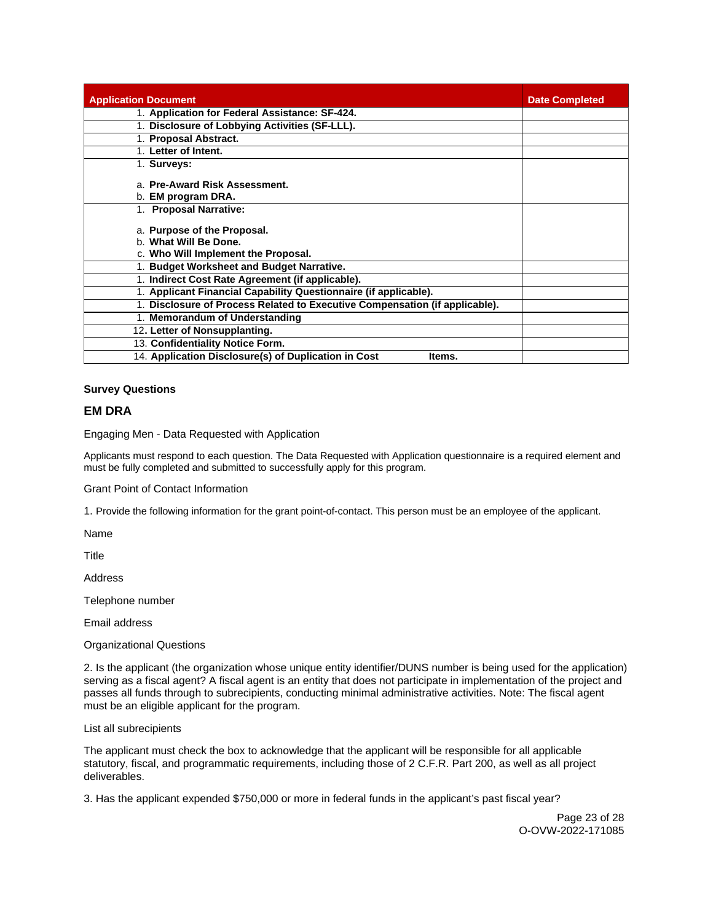<span id="page-22-0"></span>

| <b>Application Document</b>                                                                 | <b>Date Completed</b> |
|---------------------------------------------------------------------------------------------|-----------------------|
| 1. Application for Federal Assistance: SF-424.                                              |                       |
| 1. Disclosure of Lobbying Activities (SF-LLL).                                              |                       |
| 1. Proposal Abstract.                                                                       |                       |
| 1. Letter of Intent.                                                                        |                       |
| 1. Surveys:                                                                                 |                       |
| a. Pre-Award Risk Assessment.                                                               |                       |
| b. <b>EM program DRA.</b>                                                                   |                       |
| 1. Proposal Narrative:                                                                      |                       |
| a. Purpose of the Proposal.<br>b. What Will Be Done.<br>c. Who Will Implement the Proposal. |                       |
| 1. Budget Worksheet and Budget Narrative.                                                   |                       |
| 1. Indirect Cost Rate Agreement (if applicable).                                            |                       |
| 1. Applicant Financial Capability Questionnaire (if applicable).                            |                       |
| 1. Disclosure of Process Related to Executive Compensation (if applicable).                 |                       |
| 1. Memorandum of Understanding                                                              |                       |
| 12. Letter of Nonsupplanting.                                                               |                       |
| 13. Confidentiality Notice Form.                                                            |                       |
| 14. Application Disclosure(s) of Duplication in Cost<br>Items.                              |                       |

## **Survey Questions**

## **EM DRA**

Engaging Men - Data Requested with Application

Applicants must respond to each question. The Data Requested with Application questionnaire is a required element and must be fully completed and submitted to successfully apply for this program.

Grant Point of Contact Information

1. Provide the following information for the grant point-of-contact. This person must be an employee of the applicant.

Name

**Title** 

Address

Telephone number

Email address

Organizational Questions

2. Is the applicant (the organization whose unique entity identifier/DUNS number is being used for the application) serving as a fiscal agent? A fiscal agent is an entity that does not participate in implementation of the project and passes all funds through to subrecipients, conducting minimal administrative activities. Note: The fiscal agent must be an eligible applicant for the program.

List all subrecipients

The applicant must check the box to acknowledge that the applicant will be responsible for all applicable statutory, fiscal, and programmatic requirements, including those of 2 C.F.R. Part 200, as well as all project deliverables.

3. Has the applicant expended \$750,000 or more in federal funds in the applicant's past fiscal year?

Page 23 of 28 O-OVW-2022-171085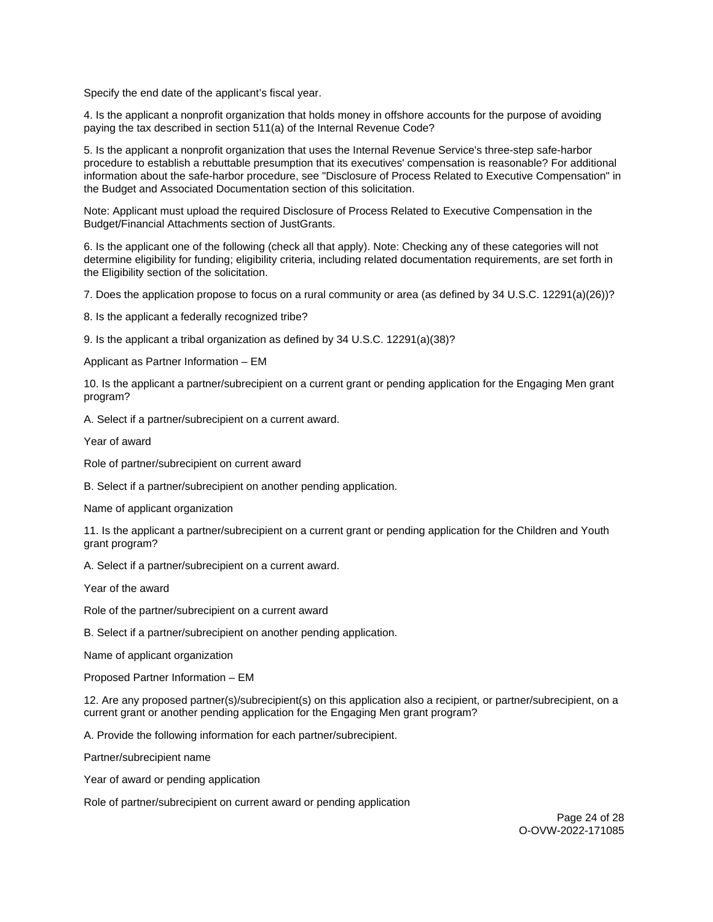Specify the end date of the applicant's fiscal year.

4. Is the applicant a nonprofit organization that holds money in offshore accounts for the purpose of avoiding paying the tax described in section 511(a) of the Internal Revenue Code?

5. Is the applicant a nonprofit organization that uses the Internal Revenue Service's three-step safe-harbor procedure to establish a rebuttable presumption that its executives' compensation is reasonable? For additional information about the safe-harbor procedure, see "Disclosure of Process Related to Executive Compensation" in the Budget and Associated Documentation section of this solicitation.

Note: Applicant must upload the required Disclosure of Process Related to Executive Compensation in the Budget/Financial Attachments section of JustGrants.

6. Is the applicant one of the following (check all that apply). Note: Checking any of these categories will not determine eligibility for funding; eligibility criteria, including related documentation requirements, are set forth in the Eligibility section of the solicitation.

7. Does the application propose to focus on a rural community or area (as defined by 34 U.S.C. 12291(a)(26))?

8. Is the applicant a federally recognized tribe?

9. Is the applicant a tribal organization as defined by 34 U.S.C. 12291(a)(38)?

Applicant as Partner Information – EM

10. Is the applicant a partner/subrecipient on a current grant or pending application for the Engaging Men grant program?

A. Select if a partner/subrecipient on a current award.

Year of award

Role of partner/subrecipient on current award

B. Select if a partner/subrecipient on another pending application.

Name of applicant organization

11. Is the applicant a partner/subrecipient on a current grant or pending application for the Children and Youth grant program?

A. Select if a partner/subrecipient on a current award.

Year of the award

Role of the partner/subrecipient on a current award

B. Select if a partner/subrecipient on another pending application.

Name of applicant organization

Proposed Partner Information – EM

12. Are any proposed partner(s)/subrecipient(s) on this application also a recipient, or partner/subrecipient, on a current grant or another pending application for the Engaging Men grant program?

A. Provide the following information for each partner/subrecipient.

Partner/subrecipient name

Year of award or pending application

Role of partner/subrecipient on current award or pending application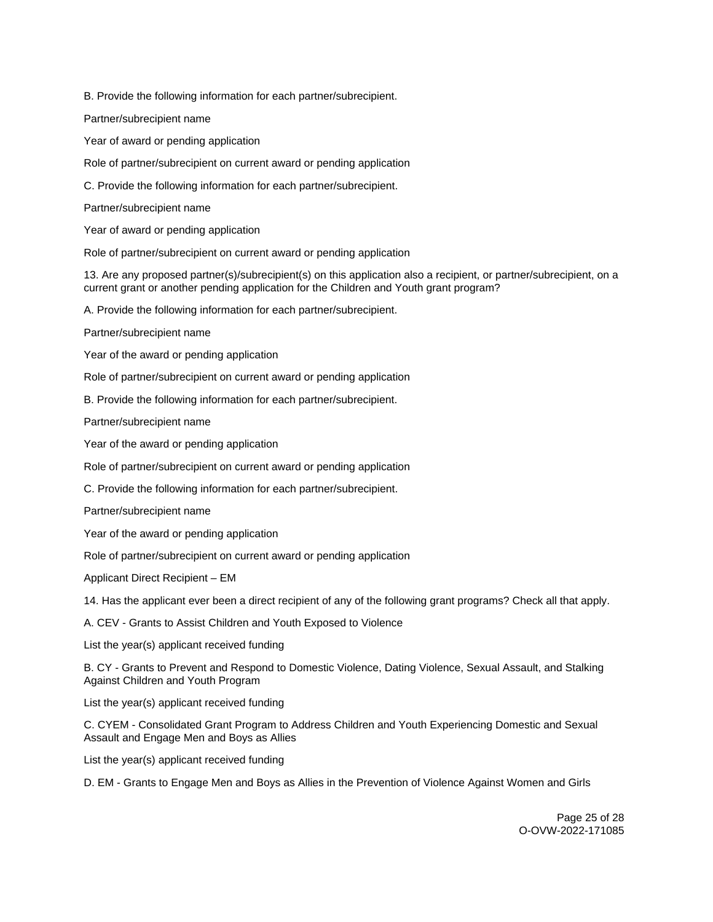B. Provide the following information for each partner/subrecipient.

Partner/subrecipient name

Year of award or pending application

Role of partner/subrecipient on current award or pending application

C. Provide the following information for each partner/subrecipient.

Partner/subrecipient name

Year of award or pending application

Role of partner/subrecipient on current award or pending application

13. Are any proposed partner(s)/subrecipient(s) on this application also a recipient, or partner/subrecipient, on a current grant or another pending application for the Children and Youth grant program?

A. Provide the following information for each partner/subrecipient.

Partner/subrecipient name

Year of the award or pending application

Role of partner/subrecipient on current award or pending application

B. Provide the following information for each partner/subrecipient.

Partner/subrecipient name

Year of the award or pending application

Role of partner/subrecipient on current award or pending application

C. Provide the following information for each partner/subrecipient.

Partner/subrecipient name

Year of the award or pending application

Role of partner/subrecipient on current award or pending application

Applicant Direct Recipient – EM

14. Has the applicant ever been a direct recipient of any of the following grant programs? Check all that apply.

A. CEV - Grants to Assist Children and Youth Exposed to Violence

List the year(s) applicant received funding

B. CY - Grants to Prevent and Respond to Domestic Violence, Dating Violence, Sexual Assault, and Stalking Against Children and Youth Program

List the year(s) applicant received funding

C. CYEM - Consolidated Grant Program to Address Children and Youth Experiencing Domestic and Sexual Assault and Engage Men and Boys as Allies

List the year(s) applicant received funding

D. EM - Grants to Engage Men and Boys as Allies in the Prevention of Violence Against Women and Girls

Page 25 of 28 O-OVW-2022-171085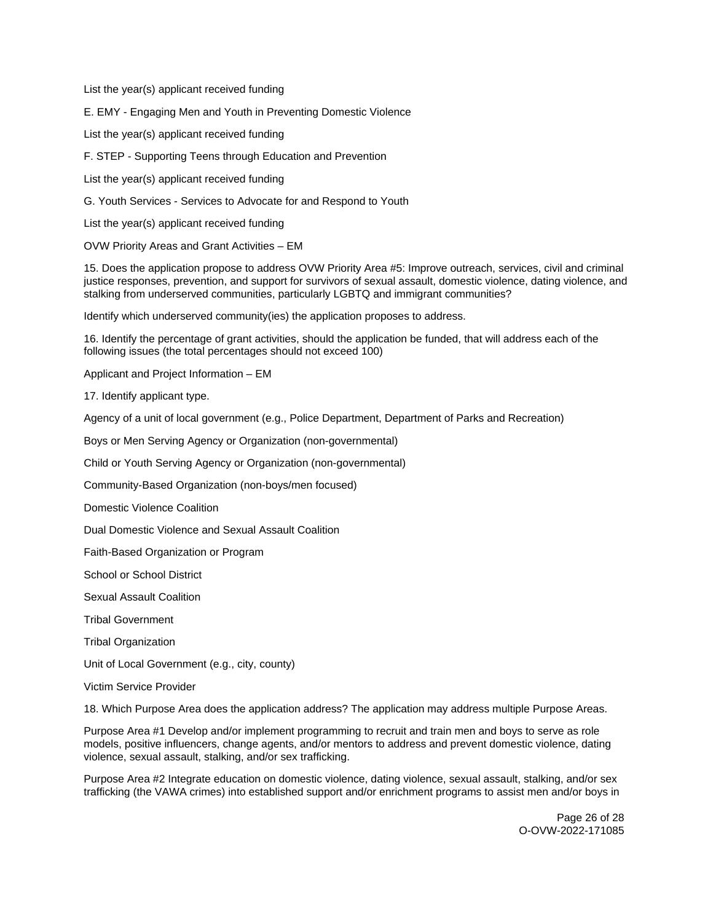List the year(s) applicant received funding

E. EMY - Engaging Men and Youth in Preventing Domestic Violence

List the year(s) applicant received funding

F. STEP - Supporting Teens through Education and Prevention

List the year(s) applicant received funding

G. Youth Services - Services to Advocate for and Respond to Youth

List the year(s) applicant received funding

OVW Priority Areas and Grant Activities – EM

15. Does the application propose to address OVW Priority Area #5: Improve outreach, services, civil and criminal justice responses, prevention, and support for survivors of sexual assault, domestic violence, dating violence, and stalking from underserved communities, particularly LGBTQ and immigrant communities?

Identify which underserved community(ies) the application proposes to address.

16. Identify the percentage of grant activities, should the application be funded, that will address each of the following issues (the total percentages should not exceed 100)

Applicant and Project Information – EM

17. Identify applicant type.

Agency of a unit of local government (e.g., Police Department, Department of Parks and Recreation)

Boys or Men Serving Agency or Organization (non-governmental)

Child or Youth Serving Agency or Organization (non-governmental)

Community-Based Organization (non-boys/men focused)

Domestic Violence Coalition

Dual Domestic Violence and Sexual Assault Coalition

Faith-Based Organization or Program

School or School District

Sexual Assault Coalition

Tribal Government

Tribal Organization

Unit of Local Government (e.g., city, county)

Victim Service Provider

18. Which Purpose Area does the application address? The application may address multiple Purpose Areas.

Purpose Area #1 Develop and/or implement programming to recruit and train men and boys to serve as role models, positive influencers, change agents, and/or mentors to address and prevent domestic violence, dating violence, sexual assault, stalking, and/or sex trafficking.

Purpose Area #2 Integrate education on domestic violence, dating violence, sexual assault, stalking, and/or sex trafficking (the VAWA crimes) into established support and/or enrichment programs to assist men and/or boys in

> Page 26 of 28 O-OVW-2022-171085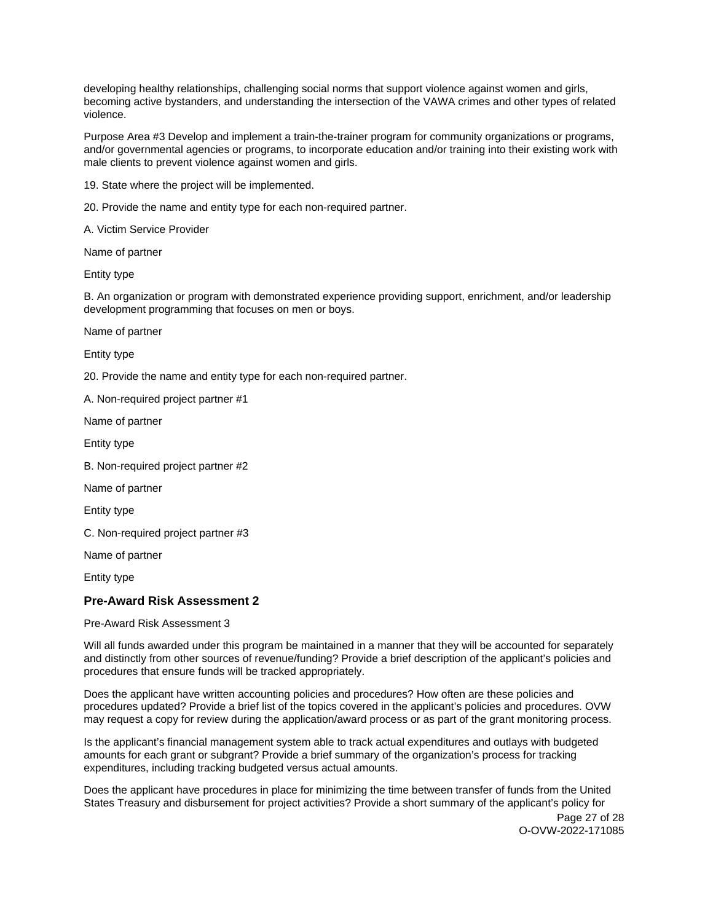developing healthy relationships, challenging social norms that support violence against women and girls, becoming active bystanders, and understanding the intersection of the VAWA crimes and other types of related violence.

Purpose Area #3 Develop and implement a train-the-trainer program for community organizations or programs, and/or governmental agencies or programs, to incorporate education and/or training into their existing work with male clients to prevent violence against women and girls.

19. State where the project will be implemented.

20. Provide the name and entity type for each non-required partner.

A. Victim Service Provider

Name of partner

Entity type

B. An organization or program with demonstrated experience providing support, enrichment, and/or leadership development programming that focuses on men or boys.

Name of partner

Entity type

20. Provide the name and entity type for each non-required partner.

A. Non-required project partner #1

Name of partner

Entity type

B. Non-required project partner #2

Name of partner

Entity type

C. Non-required project partner #3

Name of partner

Entity type

## **Pre-Award Risk Assessment 2**

Pre-Award Risk Assessment 3

Will all funds awarded under this program be maintained in a manner that they will be accounted for separately and distinctly from other sources of revenue/funding? Provide a brief description of the applicant's policies and procedures that ensure funds will be tracked appropriately.

Does the applicant have written accounting policies and procedures? How often are these policies and procedures updated? Provide a brief list of the topics covered in the applicant's policies and procedures. OVW may request a copy for review during the application/award process or as part of the grant monitoring process.

Is the applicant's financial management system able to track actual expenditures and outlays with budgeted amounts for each grant or subgrant? Provide a brief summary of the organization's process for tracking expenditures, including tracking budgeted versus actual amounts.

Does the applicant have procedures in place for minimizing the time between transfer of funds from the United States Treasury and disbursement for project activities? Provide a short summary of the applicant's policy for

Page 27 of 28 O-OVW-2022-171085